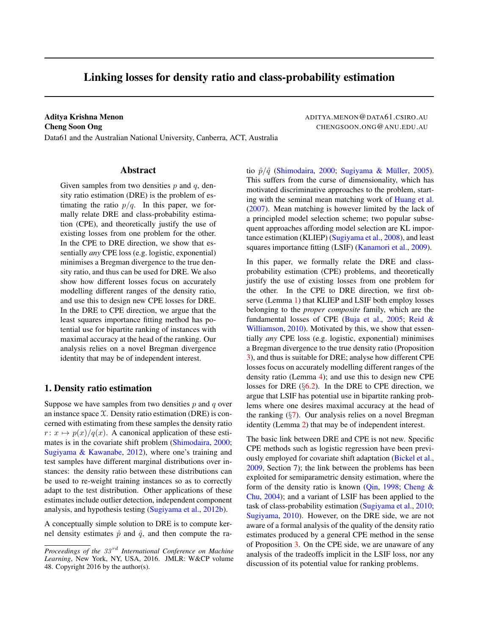## Linking losses for density ratio and class-probability estimation

Aditya Krishna Menon **ADITYA.MENON@DATA61.CSIRO.AU Cheng Soon Ong CHENGSOON.ONG@ANU.EDU.AU** 

Data61 and the Australian National University, Canberra, ACT, Australia

## Abstract

Given samples from two densities  $p$  and  $q$ , density ratio estimation (DRE) is the problem of estimating the ratio  $p/q$ . In this paper, we formally relate DRE and class-probability estimation (CPE), and theoretically justify the use of existing losses from one problem for the other. In the CPE to DRE direction, we show that essentially *any* CPE loss (e.g. logistic, exponential) minimises a Bregman divergence to the true density ratio, and thus can be used for DRE. We also show how different losses focus on accurately modelling different ranges of the density ratio, and use this to design new CPE losses for DRE. In the DRE to CPE direction, we argue that the least squares importance fitting method has potential use for bipartite ranking of instances with maximal accuracy at the head of the ranking. Our analysis relies on a novel Bregman divergence identity that may be of independent interest.

## <span id="page-0-0"></span>1. Density ratio estimation

Suppose we have samples from two densities  $p$  and  $q$  over an instance space  $X$ . Density ratio estimation (DRE) is concerned with estimating from these samples the density ratio  $r: x \mapsto p(x)/q(x)$ . A canonical application of these estimates is in the covariate shift problem [\(Shimodaira,](#page-9-0) [2000;](#page-9-0) [Sugiyama & Kawanabe,](#page-9-1) [2012\)](#page-9-1), where one's training and test samples have different marginal distributions over instances: the density ratio between these distributions can be used to re-weight training instances so as to correctly adapt to the test distribution. Other applications of these estimates include outlier detection, independent component analysis, and hypothesis testing [\(Sugiyama et al.,](#page-9-2) [2012b\)](#page-9-2).

A conceptually simple solution to DRE is to compute kernel density estimates  $\hat{p}$  and  $\hat{q}$ , and then compute the ra-

tio  $\hat{p}/\hat{q}$  [\(Shimodaira,](#page-9-0) [2000;](#page-9-0) Sugiyama & Müller, [2005\)](#page-9-3). This suffers from the curse of dimensionality, which has motivated discriminative approaches to the problem, starting with the seminal mean matching work of [Huang et al.](#page-8-0) [\(2007\)](#page-8-0). Mean matching is however limited by the lack of a principled model selection scheme; two popular subsequent approaches affording model selection are KL importance estimation (KLIEP) [\(Sugiyama et al.,](#page-9-4) [2008\)](#page-9-4), and least squares importance fitting (LSIF) [\(Kanamori et al.,](#page-8-1) [2009\)](#page-8-1).

In this paper, we formally relate the DRE and classprobability estimation (CPE) problems, and theoretically justify the use of existing losses from one problem for the other. In the CPE to DRE direction, we first observe (Lemma [1\)](#page-2-0) that KLIEP and LSIF both employ losses belonging to the *proper composite* family, which are the fundamental losses of CPE [\(Buja et al.,](#page-8-2) [2005;](#page-8-2) [Reid &](#page-9-5) [Williamson,](#page-9-5) [2010\)](#page-9-5). Motivated by this, we show that essentially *any* CPE loss (e.g. logistic, exponential) minimises a Bregman divergence to the true density ratio (Proposition [3\)](#page-3-0), and thus is suitable for DRE; analyse how different CPE losses focus on accurately modelling different ranges of the density ratio (Lemma [4\)](#page-4-0); and use this to design new CPE losses for DRE  $(\S6.2)$  $(\S6.2)$ . In the DRE to CPE direction, we argue that LSIF has potential use in bipartite ranking problems where one desires maximal accuracy at the head of the ranking  $(\S7)$  $(\S7)$ . Our analysis relies on a novel Bregman identity (Lemma [2\)](#page-3-1) that may be of independent interest.

The basic link between DRE and CPE is not new. Specific CPE methods such as logistic regression have been previously employed for covariate shift adaptation [\(Bickel et al.,](#page-8-3) [2009,](#page-8-3) Section 7); the link between the problems has been exploited for semiparametric density estimation, where the form of the density ratio is known [\(Qin,](#page-8-4) [1998;](#page-8-4) Cheng  $\&$ [Chu,](#page-8-5) [2004\)](#page-8-5); and a variant of LSIF has been applied to the task of class-probability estimation [\(Sugiyama et al.,](#page-9-6) [2010;](#page-9-6) [Sugiyama,](#page-9-7) [2010\)](#page-9-7). However, on the DRE side, we are not aware of a formal analysis of the quality of the density ratio estimates produced by a general CPE method in the sense of Proposition [3.](#page-3-0) On the CPE side, we are unaware of any analysis of the tradeoffs implicit in the LSIF loss, nor any discussion of its potential value for ranking problems.

*Proceedings of the 33<sup>rd</sup> International Conference on Machine Learning*, New York, NY, USA, 2016. JMLR: W&CP volume 48. Copyright 2016 by the author(s).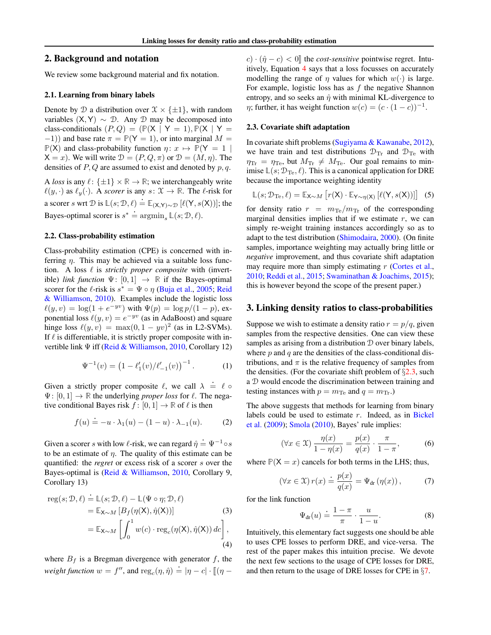## 2. Background and notation

We review some background material and fix notation.

#### 2.1. Learning from binary labels

Denote by D a distribution over  $\mathfrak{X} \times {\{\pm 1\}}$ , with random variables  $(X, Y) \sim \mathcal{D}$ . Any  $\mathcal{D}$  may be decomposed into class-conditionals  $(P, Q) = (\mathbb{P}(X | Y = 1), \mathbb{P}(X | Y =$  $(-1)$ ) and base rate  $\pi = \mathbb{P}(Y = 1)$ , or into marginal M =  $\mathbb{P}(X)$  and class-probability function  $\eta: x \mapsto \mathbb{P}(Y = 1 |$  $X = x$ ). We will write  $\mathcal{D} = (P, Q, \pi)$  or  $\mathcal{D} = (M, \eta)$ . The densities of  $P$ ,  $Q$  are assumed to exist and denoted by  $p$ ,  $q$ .

A *loss* is any  $\ell : {\pm 1} \times \mathbb{R} \to \mathbb{R}$ ; we interchangeably write  $\ell(y, \cdot)$  as  $\ell_y(\cdot)$ . A *scorer* is any  $s: \mathcal{X} \to \mathbb{R}$ . The  $\ell$ -risk for a scorer *s* wrt  $D$  is  $\mathbb{L}(s; D, \ell) = \mathbb{E}_{(X,Y) \sim D} [\ell(Y, s(X))]$ ; the Bayes-optimal scorer is  $s^* \doteq \operatorname{argmin}_s \mathbb{L}(s; \mathcal{D}, \ell)$ .

#### 2.2. Class-probability estimation

Class-probability estimation (CPE) is concerned with inferring  $\eta$ . This may be achieved via a suitable loss function. A loss  $\ell$  is *strictly proper composite* with (invertible) *link function*  $\Psi$ : [0, 1]  $\rightarrow \mathbb{R}$  if the Bayes-optimal scorer for the  $\ell$ -risk is  $s^* = \Psi \circ \eta$  [\(Buja et al.,](#page-8-2) [2005;](#page-8-2) [Reid](#page-9-5) [& Williamson,](#page-9-5) [2010\)](#page-9-5). Examples include the logistic loss  $\ell(y, v) = \log(1 + e^{-yv})$  with  $\Psi(p) = \log p/(1 - p)$ , exponential loss  $\ell(y, v) = e^{-yv}$  (as in AdaBoost) and square hinge loss  $\ell(y, v) = \max(0, 1 - yv)^2$  (as in L2-SVMs). If  $\ell$  is differentiable, it is strictly proper composite with invertible link Ψ iff [\(Reid & Williamson,](#page-9-5) [2010,](#page-9-5) Corollary 12)

$$
\Psi^{-1}(v) = \left(1 - \ell'_1(v)/\ell'_{-1}(v)\right)^{-1}.
$$
 (1)

<span id="page-1-3"></span>Given a strictly proper composite  $\ell$ , we call  $\lambda = \ell$   $\circ$  $\Psi: [0, 1] \rightarrow \mathbb{R}$  the underlying *proper loss* for  $\ell$ . The negative conditional Bayes risk  $f : [0, 1] \rightarrow \mathbb{R}$  of  $\ell$  is then

$$
f(u) = -u \cdot \lambda_1(u) - (1 - u) \cdot \lambda_{-1}(u).
$$
 (2)

Given a scorer s with low  $\ell$ -risk, we can regard  $\hat{\eta} \doteq \Psi^{-1} \circ s$ to be an estimate of  $\eta$ . The quality of this estimate can be quantified: the *regret* or excess risk of a scorer s over the Bayes-optimal is [\(Reid & Williamson,](#page-9-5) [2010,](#page-9-5) Corollary 9, Corollary 13)

reg(s; D, 
$$
\ell
$$
) = L(s; D,  $\ell$ ) – L( $\Psi \circ \eta$ ; D,  $\ell$ )  
\n= E<sub>X~M</sub> [B<sub>f</sub>( $\eta$ (X),  $\hat{\eta}$ (X))]  
\n= E<sub>X~M</sub>  $\left[ \int_0^1 w(c) \cdot \text{reg}_c(\eta(X), \hat{\eta}(X)) dc \right],$  (3)

where  $B_f$  is a Bregman divergence with generator f, the *weight function*  $w = f''$ , and  $\text{reg}_c(\eta, \hat{\eta}) = |\eta - c| \cdot [(\eta -$ 

 $(c) \cdot (\hat{\eta} - c) < 0$ ] the *cost-sensitive* pointwise regret. Intuitively, Equation [4](#page-1-0) says that a loss focusses on accurately modelling the range of  $\eta$  values for which  $w(\cdot)$  is large. For example, logistic loss has as  $f$  the negative Shannon entropy, and so seeks an  $\hat{\eta}$  with minimal KL-divergence to  $\eta$ ; further, it has weight function  $w(c) = (c \cdot (1-c))^{-1}$ .

### <span id="page-1-1"></span>2.3. Covariate shift adaptation

In covariate shift problems [\(Sugiyama & Kawanabe,](#page-9-1) [2012\)](#page-9-1), we have train and test distributions  $\mathcal{D}_{\text{Tr}}$  and  $\mathcal{D}_{\text{Te}}$  with  $\eta_{\rm Tr} = \eta_{\rm Te}$ , but  $M_{\rm Tr} \neq M_{\rm Te}$ . Our goal remains to minimise  $\mathbb{L}(s; \mathcal{D}_{\text{Te}}, \ell)$ . This is a canonical application for DRE because the importance weighting identity

<span id="page-1-5"></span>
$$
\mathbb{L}(s; \mathcal{D}_{\mathrm{Te}}, \ell) = \mathbb{E}_{\mathsf{X} \sim M} \left[ r(\mathsf{X}) \cdot \mathbb{E}_{\mathsf{Y} \sim \eta(\mathsf{X})} \left[ \ell(\mathsf{Y}, s(\mathsf{X})) \right] \right] (5)
$$

for density ratio  $r = m_{\text{Te}}/m_{\text{Tr}}$  of the corresponding marginal densities implies that if we estimate  $r$ , we can simply re-weight training instances accordingly so as to adapt to the test distribution [\(Shimodaira,](#page-9-0) [2000\)](#page-9-0). (On finite samples, importance weighting may actually bring little or *negative* improvement, and thus covariate shift adaptation may require more than simply estimating  $r$  [\(Cortes et al.,](#page-8-6) [2010;](#page-8-6) [Reddi et al.,](#page-8-7) [2015;](#page-8-7) [Swaminathan & Joachims,](#page-9-8) [2015\)](#page-9-8); this is however beyond the scope of the present paper.)

## 3. Linking density ratios to class-probabilities

Suppose we wish to estimate a density ratio  $r = p/q$ , given samples from the respective densities. One can view these samples as arising from a distribution  $D$  over binary labels, where  $p$  and  $q$  are the densities of the class-conditional distributions, and  $\pi$  is the relative frequency of samples from the densities. (For the covariate shift problem of  $\S 2.3$ , such a D would encode the discrimination between training and testing instances with  $p = m_{\text{Te}}$  and  $q = m_{\text{Tr}}$ .

The above suggests that methods for learning from binary labels could be used to estimate  $r$ . Indeed, as in [Bickel](#page-8-3) [et al.](#page-8-3) [\(2009\)](#page-8-3); [Smola](#page-9-9) [\(2010\)](#page-9-9), Bayes' rule implies:

$$
(\forall x \in \mathfrak{X}) \frac{\eta(x)}{1 - \eta(x)} = \frac{p(x)}{q(x)} \cdot \frac{\pi}{1 - \pi},\tag{6}
$$

where  $P(X = x)$  cancels for both terms in the LHS; thus,

$$
(\forall x \in \mathfrak{X}) r(x) \doteq \frac{p(x)}{q(x)} = \Psi_{\text{dr}} (\eta(x)), \tag{7}
$$

<span id="page-1-4"></span>for the link function

<span id="page-1-6"></span><span id="page-1-2"></span>
$$
\Psi_{\rm dr}(u) \doteq \frac{1-\pi}{\pi} \cdot \frac{u}{1-u}.\tag{8}
$$

<span id="page-1-0"></span>Intuitively, this elementary fact suggests one should be able to uses CPE losses to perform DRE, and vice-versa. The rest of the paper makes this intuition precise. We devote the next few sections to the usage of CPE losses for DRE, and then return to the usage of DRE losses for CPE in §[7.](#page-5-0)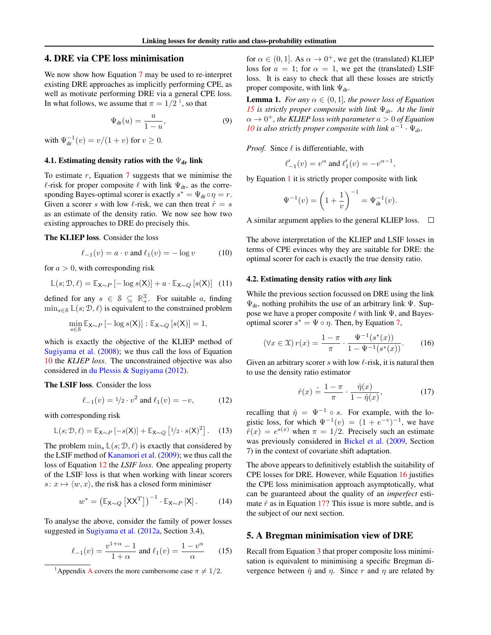## 4. DRE via CPE loss minimisation

We now show how Equation [7](#page-1-2) may be used to re-interpret existing DRE approaches as implicitly performing CPE, as well as motivate performing DRE via a general CPE loss. In what follows, we assume that  $\pi = 1/2^{-1}$  $\pi = 1/2^{-1}$  $\pi = 1/2^{-1}$ , so that

$$
\Psi_{\rm dr}(u) = \frac{u}{1-u},\tag{9}
$$

with  $\Psi_{dr}^{-1}(v) = v/(1 + v)$  for  $v \ge 0$ .

## <span id="page-2-7"></span>4.1. Estimating density ratios with the  $\Psi_{dr}$  link

To estimate  $r$ , Equation  $\overline{7}$  $\overline{7}$  $\overline{7}$  suggests that we minimise the  $\ell$ -risk for proper composite  $\ell$  with link  $\Psi_{dr}$ , as the corresponding Bayes-optimal scorer is exactly  $s^* = \Psi_{dr} \circ \eta = r$ . Given a scorer s with low  $\ell$ -risk, we can then treat  $\hat{r} = s$ as an estimate of the density ratio. We now see how two existing approaches to DRE do precisely this.

The KLIEP loss. Consider the loss

<span id="page-2-9"></span><span id="page-2-2"></span>
$$
\ell_{-1}(v) = a \cdot v \text{ and } \ell_1(v) = -\log v \tag{10}
$$

for  $a > 0$ , with corresponding risk

$$
\mathbb{L}(s; \mathcal{D}, \ell) = \mathbb{E}_{\mathsf{X} \sim P} \left[ -\log s(\mathsf{X}) \right] + a \cdot \mathbb{E}_{\mathsf{X} \sim Q} \left[ s(\mathsf{X}) \right] \tag{11}
$$

defined for any  $s \in \mathcal{S} \subseteq \mathbb{R}^{\mathcal{X}}_+$ . For suitable a, finding  $\min_{s \in \mathcal{S}} \mathbb{L}(s; \mathcal{D}, \ell)$  is equivalent to the constrained problem

$$
\min_{s \in \mathcal{S}} \mathbb{E}_{\mathsf{X} \sim P} \left[ -\log s(\mathsf{X}) \right] : \mathbb{E}_{\mathsf{X} \sim Q} \left[ s(\mathsf{X}) \right] = 1,
$$

which is exactly the objective of the KLIEP method of [Sugiyama et al.](#page-9-4) [\(2008\)](#page-9-4); we thus call the loss of Equation [10](#page-2-2) the *KLIEP loss*. The unconstrained objective was also considered in [du Plessis & Sugiyama](#page-8-8) [\(2012\)](#page-8-8).

The LSIF loss. Consider the loss

<span id="page-2-10"></span><span id="page-2-3"></span>
$$
\ell_{-1}(v) = 1/2 \cdot v^2 \text{ and } \ell_1(v) = -v,\tag{12}
$$

with corresponding risk

$$
\mathbb{L}(s; \mathcal{D}, \ell) = \mathbb{E}_{\mathsf{X} \sim P} \left[ -s(\mathsf{X}) \right] + \mathbb{E}_{\mathsf{X} \sim Q} \left[ \frac{1}{2} \cdot s(\mathsf{X})^2 \right]. \tag{13}
$$

The problem  $\min_{s} \mathbb{L}(s; \mathcal{D}, \ell)$  is exactly that considered by the LSIF method of [Kanamori et al.](#page-8-1) [\(2009\)](#page-8-1); we thus call the loss of Equation [12](#page-2-3) the *LSIF loss*. One appealing property of the LSIF loss is that when working with linear scorers  $s: x \mapsto \langle w, x \rangle$ , the risk has a closed form minimiser

$$
w^* = \left(\mathbb{E}_{\mathsf{X}\sim Q} \left[\mathsf{X}\mathsf{X}^T\right]\right)^{-1} \cdot \mathbb{E}_{\mathsf{X}\sim P} \left[\mathsf{X}\right].\tag{14}
$$

To analyse the above, consider the family of power losses suggested in [Sugiyama et al.](#page-9-10) [\(2012a,](#page-9-10) Section 3.4),

$$
\ell_{-1}(v) = \frac{v^{1+\alpha} - 1}{1+\alpha} \text{ and } \ell_1(v) = \frac{1-v^{\alpha}}{\alpha} \qquad (15)
$$

for  $\alpha \in (0, 1]$ . As  $\alpha \to 0^+$ , we get the (translated) KLIEP loss for  $a = 1$ ; for  $\alpha = 1$ , we get the (translated) LSIF loss. It is easy to check that all these losses are strictly proper composite, with link  $\Psi_{dr}$ .

<span id="page-2-11"></span><span id="page-2-0"></span>**Lemma 1.** *For any*  $\alpha \in (0, 1]$ *, the power loss of Equation [15](#page-2-4) is strictly proper composite with link* Ψ*dr. At the limit*  $\alpha \rightarrow 0^+$ , the KLIEP loss with parameter  $a > 0$  of Equation *[10](#page-2-2)* is also strictly proper composite with link  $a^{-1} \cdot \Psi_{dr}$ .

*Proof.* Since  $\ell$  is differentiable, with

$$
\ell'_{-1}(v) = v^{\alpha}
$$
 and  $\ell'_{1}(v) = -v^{\alpha-1}$ ,

by Equation [1](#page-1-3) it is strictly proper composite with link

$$
\Psi^{-1}(v) = \left(1 + \frac{1}{v}\right)^{-1} = \Psi_{\text{dr}}^{-1}(v).
$$

A similar argument applies to the general KLIEP loss.  $\Box$ 

The above interpretation of the KLIEP and LSIF losses in terms of CPE evinces why they are suitable for DRE: the optimal scorer for each is exactly the true density ratio.

#### 4.2. Estimating density ratios with *any* link

While the previous section focussed on DRE using the link  $\Psi_{dr}$ , nothing prohibits the use of an arbitrary link  $\Psi$ . Suppose we have a proper composite  $\ell$  with link  $\Psi$ , and Bayesoptimal scorer  $s^* = \Psi \circ \eta$ . Then, by Equation [7,](#page-1-2)

$$
(\forall x \in \mathcal{X}) r(x) = \frac{1 - \pi}{\pi} \cdot \frac{\Psi^{-1}(s^*(x))}{1 - \Psi^{-1}(s^*(x))}.
$$
 (16)

Given an arbitrary scorer  $s$  with low  $\ell$ -risk, it is natural then to use the density ratio estimator

<span id="page-2-6"></span><span id="page-2-5"></span>
$$
\hat{r}(x) \doteq \frac{1 - \pi}{\pi} \cdot \frac{\hat{\eta}(x)}{1 - \hat{\eta}(x)},\tag{17}
$$

recalling that  $\hat{\eta} = \Psi^{-1} \circ s$ . For example, with the logistic loss, for which  $\Psi^{-1}(v) = (1 + e^{-v})^{-1}$ , we have  $\hat{r}(x) = e^{s(x)}$  when  $\pi = 1/2$ . Precisely such an estimate was previously considered in [Bickel et al.](#page-8-3) [\(2009,](#page-8-3) Section 7) in the context of covariate shift adaptation.

<span id="page-2-8"></span>The above appears to definitively establish the suitability of CPE losses for DRE. However, while Equation [16](#page-2-5) justifies the CPE loss minimisation approach asymptotically, what can be guaranteed about the quality of an *imperfect* estimate  $\hat{r}$  as in Equation [17?](#page-2-6) This issue is more subtle, and is the subject of our next section.

## <span id="page-2-4"></span>5. A Bregman minimisation view of DRE

Recall from Equation [3](#page-1-4) that proper composite loss minimisation is equivalent to minimising a specific Bregman divergence between  $\hat{\eta}$  and  $\eta$ . Since r and  $\eta$  are related by

<span id="page-2-1"></span><sup>&</sup>lt;sup>1</sup>[A](#page-10-0)ppendix A covers the more cumbersome case  $\pi \neq 1/2$ .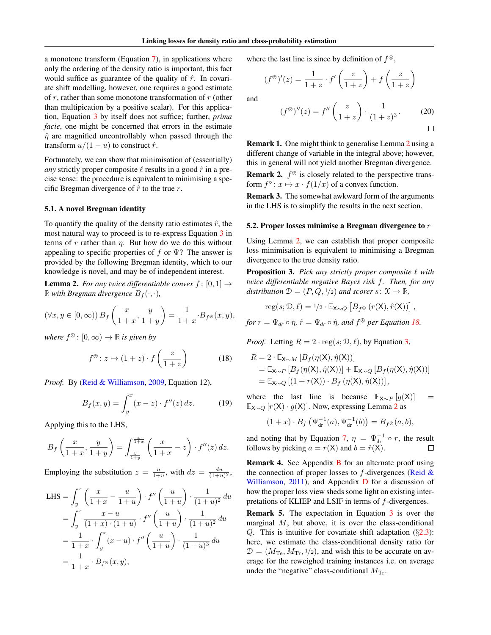a monotone transform (Equation [7\)](#page-1-2), in applications where only the ordering of the density ratio is important, this fact would suffice as guarantee of the quality of  $\hat{r}$ . In covariate shift modelling, however, one requires a good estimate of  $r$ , rather than some monotone transformation of  $r$  (other than multipication by a positive scalar). For this application, Equation [3](#page-1-4) by itself does not suffice; further, *prima facie*, one might be concerned that errors in the estimate  $\hat{\eta}$  are magnified uncontrollably when passed through the transform  $u/(1-u)$  to construct  $\hat{r}$ .

Fortunately, we can show that minimisation of (essentially) *any* strictly proper composite  $\ell$  results in a good  $\hat{r}$  in a precise sense: the procedure is equivalent to minimising a specific Bregman divergence of  $\hat{r}$  to the true r.

## 5.1. A novel Bregman identity

To quantify the quality of the density ratio estimates  $\hat{r}$ , the most natural way to proceed is to re-express Equation [3](#page-1-4) in terms of r rather than  $\eta$ . But how do we do this without appealing to specific properties of f or  $\Psi$ ? The answer is provided by the following Bregman identity, which to our knowledge is novel, and may be of independent interest.

<span id="page-3-1"></span>**Lemma 2.** *For any twice differentiable convex*  $f : [0, 1] \rightarrow$ R *with Bregman divergence*  $B_f(\cdot, \cdot)$ *,* 

$$
(\forall x, y \in [0, \infty)) B_f\left(\frac{x}{1+x}, \frac{y}{1+y}\right) = \frac{1}{1+x} \cdot B_{f^{\circledast}}(x, y),
$$

where  $f^{\circledast}$ :  $[0,\infty) \to \mathbb{R}$  *is given by* 

<span id="page-3-2"></span>
$$
f^{\circledast} \colon z \mapsto (1+z) \cdot f\left(\frac{z}{1+z}\right) \tag{18}
$$

*Proof.* By [\(Reid & Williamson,](#page-8-9) [2009,](#page-8-9) Equation 12),

$$
B_f(x, y) = \int_y^x (x - z) \cdot f''(z) \, dz. \tag{19}
$$

Applying this to the LHS,

$$
B_f\left(\frac{x}{1+x}, \frac{y}{1+y}\right) = \int_{\frac{y}{1+y}}^{\frac{x}{1+x}} \left(\frac{x}{1+x} - z\right) \cdot f''(z) \, dz.
$$

Employing the substitution  $z = \frac{u}{1+u}$ , with  $dz = \frac{du}{(1+u)^2}$ ,

LHS = 
$$
\int_{y}^{x} \left( \frac{x}{1+x} - \frac{u}{1+u} \right) \cdot f'' \left( \frac{u}{1+u} \right) \cdot \frac{1}{(1+u)^{2}} du
$$
  
= 
$$
\int_{y}^{x} \frac{x-u}{(1+x) \cdot (1+u)} \cdot f'' \left( \frac{u}{1+u} \right) \cdot \frac{1}{(1+u)^{2}} du
$$
  
= 
$$
\frac{1}{1+x} \cdot \int_{y}^{x} (x-u) \cdot f'' \left( \frac{u}{1+u} \right) \cdot \frac{1}{(1+u)^{3}} du
$$
  
= 
$$
\frac{1}{1+x} \cdot B_{f^{\circledast}}(x, y),
$$

where the last line is since by definition of  $f^{\circledast}$ ,

$$
(f^{\circledast})'(z) = \frac{1}{1+z} \cdot f'\left(\frac{z}{1+z}\right) + f\left(\frac{z}{1+z}\right)
$$

<span id="page-3-4"></span>and

$$
(f^{\circledast})''(z) = f''\left(\frac{z}{1+z}\right) \cdot \frac{1}{(1+z)^3}.\tag{20}
$$

Remark 1. One might think to generalise Lemma [2](#page-3-1) using a different change of variable in the integral above; however, this in general will not yield another Bregman divergence.

**Remark 2.**  $f^{\otimes}$  is closely related to the perspective transform  $f^{\diamond}$ :  $x \mapsto x \cdot f(1/x)$  of a convex function.

Remark 3. The somewhat awkward form of the arguments in the LHS is to simplify the results in the next section.

#### 5.2. Proper losses minimise a Bregman divergence to  $r$

Using Lemma [2,](#page-3-1) we can establish that proper composite loss minimisation is equivalent to minimising a Bregman divergence to the true density ratio.

<span id="page-3-0"></span>**Proposition 3.** Pick any strictly proper composite  $\ell$  with *twice differentiable negative Bayes risk* f*. Then, for any distribution*  $\mathcal{D} = (P, Q, \frac{1}{2})$  *and scorer*  $s: \mathcal{X} \to \mathbb{R}$ *,* 

$$
reg(s; \mathcal{D}, \ell) = \frac{1}{2} \cdot \mathbb{E}_{X \sim Q} \left[ B_{f^{\circledast}} \left( r(X), \hat{r}(X) \right) \right],
$$

*for*  $r = \Psi_{dr} \circ \eta$ ,  $\hat{r} = \Psi_{dr} \circ \hat{\eta}$ , and  $f^{\circledast}$  per Equation [18.](#page-3-2)

*Proof.* Letting  $R = 2 \cdot \text{reg}(s; \mathcal{D}, \ell)$ , by Equation [3,](#page-1-4)

$$
R = 2 \cdot \mathbb{E}_{\mathsf{X} \sim M} \left[ B_f(\eta(\mathsf{X}), \hat{\eta}(\mathsf{X})) \right]
$$
  
= 
$$
\mathbb{E}_{\mathsf{X} \sim P} \left[ B_f(\eta(\mathsf{X}), \hat{\eta}(\mathsf{X})) \right] + \mathbb{E}_{\mathsf{X} \sim Q} \left[ B_f(\eta(\mathsf{X}), \hat{\eta}(\mathsf{X})) \right]
$$
  
= 
$$
\mathbb{E}_{\mathsf{X} \sim Q} \left[ (1 + r(\mathsf{X})) \cdot B_f(\eta(\mathsf{X}), \hat{\eta}(\mathsf{X})) \right],
$$

<span id="page-3-3"></span>where the last line is because  $\mathbb{E}_{X \sim P} [g(X)] =$ **E**X∼<sup>Q</sup> [r(X) · g(X)]. Now, expressing Lemma [2](#page-3-1) as

$$
(1+x) \cdot B_f \left( \Psi_{dr}^{-1}(a), \Psi_{dr}^{-1}(b) \right) = B_{f^{\circledast}}(a, b),
$$

and noting that by Equation [7,](#page-1-2)  $\eta = \Psi_{dr}^{-1} \circ r$ , the result follows by picking  $a = r(X)$  and  $b = \hat{r}(X)$ .

Remark 4. See Appendix [B](#page-12-0) for an alternate proof using the connection of proper losses to  $f$ -divergences [\(Reid &](#page-9-11) [Williamson,](#page-9-11) [2011\)](#page-9-11), and Appendix [D](#page-14-0) for a discussion of how the proper loss view sheds some light on existing interpretations of KLIEP and LSIF in terms of f-divergences.

Remark 5. The expectation in Equation [3](#page-1-4) is over the marginal  $M$ , but above, it is over the class-conditional Q. This is intuitive for covariate shift adaptation  $(\S2.3)$  $(\S2.3)$ : here, we estimate the class-conditional density ratio for  $\mathcal{D} = (M_{\text{Te}}, M_{\text{Tr}}, 1/2)$ , and wish this to be accurate on average for the reweighed training instances i.e. on average under the "negative" class-conditional  $M_{\text{Tr}}$ .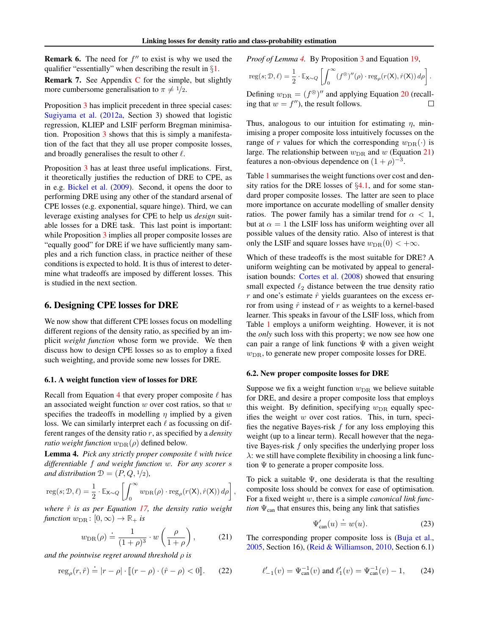**Remark 6.** The need for  $f''$  to exist is why we used the qualifier "essentially" when describing the result in  $\S1$ .

Remark 7. See Appendix [C](#page-13-0) for the simple, but slightly more cumbersome generalisation to  $\pi \neq \frac{1}{2}$ .

Proposition [3](#page-3-0) has implicit precedent in three special cases: [Sugiyama et al.](#page-9-10) [\(2012a,](#page-9-10) Section 3) showed that logistic regression, KLIEP and LSIF perform Bregman minimisation. Proposition [3](#page-3-0) shows that this is simply a manifestation of the fact that they all use proper composite losses, and broadly generalises the result to other  $\ell$ .

Proposition [3](#page-3-0) has at least three useful implications. First, it theoretically justifies the reduction of DRE to CPE, as in e.g. [Bickel et al.](#page-8-3) [\(2009\)](#page-8-3). Second, it opens the door to performing DRE using any other of the standard arsenal of CPE losses (e.g. exponential, square hinge). Third, we can leverage existing analyses for CPE to help us *design* suitable losses for a DRE task. This last point is important: while Proposition [3](#page-3-0) implies all proper composite losses are "equally good" for DRE if we have sufficiently many samples and a rich function class, in practice neither of these conditions is expected to hold. It is thus of interest to determine what tradeoffs are imposed by different losses. This is studied in the next section.

## 6. Designing CPE losses for DRE

We now show that different CPE losses focus on modelling different regions of the density ratio, as specified by an implicit *weight function* whose form we provide. We then discuss how to design CPE losses so as to employ a fixed such weighting, and provide some new losses for DRE.

#### 6.1. A weight function view of losses for DRE

Recall from Equation [4](#page-1-0) that every proper composite  $\ell$  has an associated weight function  $w$  over cost ratios, so that  $w$ specifies the tradeoffs in modelling  $\eta$  implied by a given loss. We can similarly interpret each  $\ell$  as focussing on different ranges of the density ratio r, as specified by a *density ratio weight function*  $w<sub>DR</sub>(\rho)$  defined below.

<span id="page-4-0"></span>**Lemma 4.** Pick any strictly proper composite  $\ell$  with twice *differentiable* f *and weight function* w*. For any scorer* s *and distribution*  $D = (P, Q, \frac{1}{2})$ *,* 

$$
\mathrm{reg}(s; \mathcal{D}, \ell) = \frac{1}{2} \cdot \mathbb{E}_{\mathbf{X} \sim Q} \left[ \int_0^\infty w_{\mathrm{DR}}(\rho) \cdot \mathrm{reg}_\rho(r(\mathbf{X}), \hat{r}(\mathbf{X})) \, d\rho \right]
$$

*where*  $\hat{r}$  *is as per Equation [17,](#page-2-6) the density ratio weight function*  $w_{\text{DR}}: [0, \infty) \to \mathbb{R}_+$  *is* 

<span id="page-4-2"></span>
$$
w_{\text{DR}}(\rho) \doteq \frac{1}{(1+\rho)^3} \cdot w\left(\frac{\rho}{1+\rho}\right),\tag{21}
$$

,

*and the pointwise regret around threshold* ρ *is*

$$
\operatorname{reg}_{\rho}(r,\hat{r}) \doteq |r - \rho| \cdot \llbracket (r - \rho) \cdot (\hat{r} - \rho) < 0 \rrbracket. \tag{22}
$$

*Proof of Lemma [4.](#page-4-0)* By Proposition [3](#page-3-0) and Equation [19,](#page-3-3)

$$
\operatorname{reg}(s; \mathcal{D}, \ell) = \frac{1}{2} \cdot \mathbb{E}_{\mathsf{X} \sim Q} \left[ \int_0^\infty (f^\circledast)''(\rho) \cdot \operatorname{reg}_\rho(r(\mathsf{X}), \hat{r}(\mathsf{X})) \, d\rho \right].
$$

Defining  $w_{\text{DR}} = (f^{\otimes})^{\prime\prime}$  and applying Equation [20](#page-3-4) (recalling that  $w = f''$ , the result follows.  $\Box$ 

Thus, analogous to our intuition for estimating  $\eta$ , minimising a proper composite loss intuitively focusses on the range of r values for which the corresponding  $w<sub>DR</sub>(.)$  is large. The relationship between  $w<sub>DR</sub>$  and w (Equation [21\)](#page-4-2) features a non-obvious dependence on  $(1 + \rho)^{-3}$ .

Table [1](#page-5-1) summarises the weight functions over cost and density ratios for the DRE losses of  $\S 4.1$ , and for some standard proper composite losses. The latter are seen to place more importance on accurate modelling of smaller density ratios. The power family has a similar trend for  $\alpha < 1$ , but at  $\alpha = 1$  the LSIF loss has uniform weighting over all possible values of the density ratio. Also of interest is that only the LSIF and square losses have  $w_{\text{DR}}(0) < +\infty$ .

Which of these tradeoffs is the most suitable for DRE? A uniform weighting can be motivated by appeal to generalisation bounds: [Cortes et al.](#page-8-10) [\(2008\)](#page-8-10) showed that ensuring small expected  $\ell_2$  distance between the true density ratio  $r$  and one's estimate  $\hat{r}$  yields guarantees on the excess error from using  $\hat{r}$  instead of r as weights to a kernel-based learner. This speaks in favour of the LSIF loss, which from Table [1](#page-5-1) employs a uniform weighting. However, it is not the *only* such loss with this property; we now see how one can pair a range of link functions  $\Psi$  with a given weight  $w<sub>DR</sub>$ , to generate new proper composite losses for DRE.

#### <span id="page-4-1"></span>6.2. New proper composite losses for DRE

Suppose we fix a weight function  $w<sub>DR</sub>$  we believe suitable for DRE, and desire a proper composite loss that employs this weight. By definition, specifying  $w_{\text{DR}}$  equally specifies the weight  $w$  over cost ratios. This, in turn, specifies the negative Bayes-risk  $f$  for any loss employing this weight (up to a linear term). Recall however that the negative Bayes-risk  $f$  only specifies the underlying proper loss  $\lambda$ : we still have complete flexibility in choosing a link function  $\Psi$  to generate a proper composite loss.

To pick a suitable  $\Psi$ , one desiderata is that the resulting composite loss should be convex for ease of optimisation. For a fixed weight w, there is a simple *canonical link function*  $\Psi_{\text{can}}$  that ensures this, being any link that satisfies

<span id="page-4-3"></span>
$$
\Psi'_{\text{can}}(u) \doteq w(u). \tag{23}
$$

<span id="page-4-5"></span><span id="page-4-4"></span>The corresponding proper composite loss is [\(Buja et al.,](#page-8-2) [2005,](#page-8-2) Section 16), [\(Reid & Williamson,](#page-9-5) [2010,](#page-9-5) Section 6.1)

$$
\ell'_{-1}(v) = \Psi_{\text{can}}^{-1}(v) \text{ and } \ell'_{1}(v) = \Psi_{\text{can}}^{-1}(v) - 1,
$$
 (24)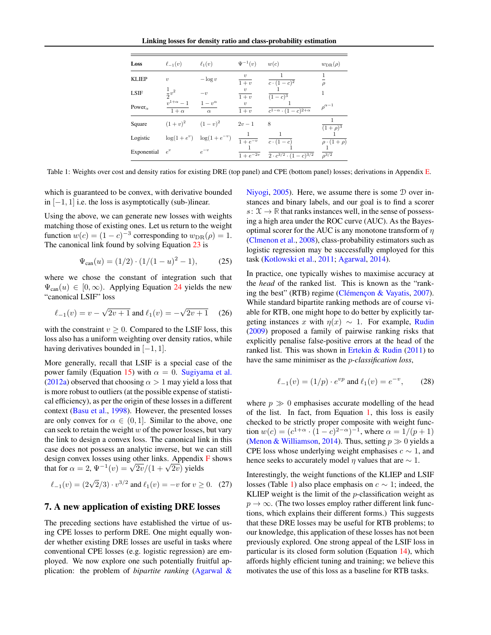Linking losses for density ratio and class-probability estimation

<span id="page-5-1"></span>

| Loss         | $\ell_{-1}(v)$                 | $\ell_1(v)$                        | $\Psi^{-1}(v)$            | w(c)                                             | $w_{\text{DR}}(\rho)$ |
|--------------|--------------------------------|------------------------------------|---------------------------|--------------------------------------------------|-----------------------|
| <b>KLIEP</b> | $\eta$                         | $-\log v$                          | $\boldsymbol{v}$<br>$1+v$ | $c\cdot(1-c)^2$                                  | $\rho$                |
| <b>LSIF</b>  | $\frac{1}{2}v^2$               | $-i2$                              | $1+v$                     | $(1-c)^3$                                        |                       |
| Power        | $v^{1+\alpha}-1$<br>$1+\alpha$ | $1-v^{\alpha}$<br>$\alpha$         | $\eta$<br>$1+v$           | $\overline{c^{1-\alpha} \cdot (1-c)^{2+\alpha}}$ | $\rho^{\alpha-1}$     |
| Square       | $(1 + v)^2$ $(1 - v)^2$        |                                    | $2v-1$                    | 8                                                | $(1+\rho)^3$          |
| Logistic     |                                | $\log(1 + e^v)$ $\log(1 + e^{-v})$ | $1 + e^{-v}$              | $\overline{c\cdot(1-c)}$                         | $\rho \cdot (1+\rho)$ |
| Exponential  | $e^v$                          | $e^{-v}$                           | $1 + e^{-2v}$             | $2 \cdot c^{3/2} \cdot (1-c)^{3/2}$              | $\sqrt{\frac{3}{2}}$  |

Table 1: Weights over cost and density ratios for existing DRE (top panel) and CPE (bottom panel) losses; derivations in Appendix [E.](#page-16-0)

which is guaranteed to be convex, with derivative bounded in  $[-1, 1]$  i.e. the loss is asymptotically (sub-)linear.

Using the above, we can generate new losses with weights matching those of existing ones. Let us return to the weight function  $w(c) = (1 - c)^{-3}$  corresponding to  $w<sub>DR</sub>(\rho) = 1$ . The canonical link found by solving Equation [23](#page-4-3) is

<span id="page-5-2"></span>
$$
\Psi_{\text{can}}(u) = (1/2) \cdot (1/(1-u)^2 - 1), \tag{25}
$$

where we chose the constant of integration such that  $\Psi_{\rm can}(u) \in [0,\infty)$ . Applying Equation [24](#page-4-4) yields the new "canonical LSIF" loss

$$
\ell_{-1}(v) = v - \sqrt{2v + 1} \text{ and } \ell_1(v) = -\sqrt{2v + 1} \quad (26)
$$

with the constraint  $v \geq 0$ . Compared to the LSIF loss, this loss also has a uniform weighting over density ratios, while having derivatives bounded in  $[-1, 1]$ .

More generally, recall that LSIF is a special case of the power family (Equation [15\)](#page-2-4) with  $\alpha = 0$ . [Sugiyama et al.](#page-9-10) [\(2012a\)](#page-9-10) observed that choosing  $\alpha > 1$  may yield a loss that is more robust to outliers (at the possible expense of statistical efficiency), as per the origin of these losses in a different context [\(Basu et al.,](#page-8-11) [1998\)](#page-8-11). However, the presented losses are only convex for  $\alpha \in (0,1]$ . Similar to the above, one can seek to retain the weight  $w$  of the power losses, but vary the link to design a convex loss. The canonical link in this case does not possess an analytic inverse, but we can still design convex losses using other links. Appendix [F](#page-17-0) shows design convex losses using other links. Appendix<br>that for  $\alpha = 2$ ,  $\Psi^{-1}(v) = \sqrt{2v}/(1 + \sqrt{2v})$  yields

$$
\ell_{-1}(v) = (2\sqrt{2}/3) \cdot v^{3/2} \text{ and } \ell_1(v) = -v \text{ for } v \ge 0. \quad (27)
$$

## <span id="page-5-0"></span>7. A new application of existing DRE losses

The preceding sections have established the virtue of using CPE losses to perform DRE. One might equally wonder whether existing DRE losses are useful in tasks where conventional CPE losses (e.g. logistic regression) are employed. We now explore one such potentially fruitful application: the problem of *bipartite ranking* [\(Agarwal &](#page-8-12) [Niyogi,](#page-8-12) [2005\)](#page-8-12). Here, we assume there is some D over instances and binary labels, and our goal is to find a scorer  $s: \mathcal{X} \to \mathbb{R}$  that ranks instances well, in the sense of possessing a high area under the ROC curve (AUC). As the Bayesoptimal scorer for the AUC is any monotone transform of  $\eta$ [\(Clmenon et al.,](#page-8-13) [2008\)](#page-8-13), class-probability estimators such as logistic regression may be successfully employed for this task [\(Kotlowski et al.,](#page-8-14) [2011;](#page-8-14) [Agarwal,](#page-8-15) [2014\)](#page-8-15).

<span id="page-5-5"></span>In practice, one typically wishes to maximise accuracy at the *head* of the ranked list. This is known as the "ranking the best" (RTB) regime (Clémençon & Vayatis,  $2007$ ). While standard bipartite ranking methods are of course viable for RTB, one might hope to do better by explicitly targeting instances x with  $\eta(x) \sim 1$ . For example, [Rudin](#page-9-12) [\(2009\)](#page-9-12) proposed a family of pairwise ranking risks that explicitly penalise false-positive errors at the head of the ranked list. This was shown in Ertekin  $& Rudin (2011)$  $& Rudin (2011)$  to have the same minimiser as the p*-classification loss*,

<span id="page-5-4"></span>
$$
\ell_{-1}(v) = (1/p) \cdot e^{vp} \text{ and } \ell_1(v) = e^{-v}, \qquad (28)
$$

where  $p \gg 0$  emphasises accurate modelling of the head of the list. In fact, from Equation [1,](#page-1-3) this loss is easily checked to be strictly proper composite with weight function  $w(c) = (c^{1+\alpha} \cdot (1-c)^{2-\alpha})^{-1}$ , where  $\alpha = 1/(p+1)$ [\(Menon & Williamson,](#page-8-18) [2014\)](#page-8-18). Thus, setting  $p \gg 0$  yields a CPE loss whose underlying weight emphasises  $c \sim 1$ , and hence seeks to accurately model  $\eta$  values that are  $\sim 1$ .

<span id="page-5-3"></span>Interestingly, the weight functions of the KLIEP and LSIF losses (Table [1\)](#page-5-1) also place emphasis on  $c \sim 1$ ; indeed, the KLIEP weight is the limit of the  $p$ -classification weight as  $p \rightarrow \infty$ . (The two losses employ rather different link functions, which explains their different forms.) This suggests that these DRE losses may be useful for RTB problems; to our knowledge, this application of these losses has not been previously explored. One strong appeal of the LSIF loss in particular is its closed form solution (Equation [14\)](#page-2-8), which affords highly efficient tuning and training; we believe this motivates the use of this loss as a baseline for RTB tasks.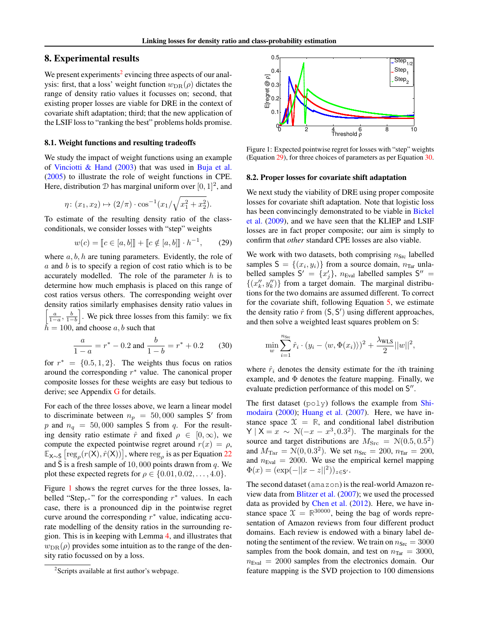## 8. Experimental results

We present experiments<sup>[2](#page-6-0)</sup> evincing three aspects of our analysis: first, that a loss' weight function  $w_{\text{DR}}(\rho)$  dictates the range of density ratio values it focusses on; second, that existing proper losses are viable for DRE in the context of covariate shift adaptation; third; that the new application of the LSIF loss to "ranking the best" problems holds promise.

#### 8.1. Weight functions and resulting tradeoffs

We study the impact of weight functions using an example of [Vinciotti & Hand](#page-9-13) [\(2003\)](#page-9-13) that was used in [Buja et al.](#page-8-2) [\(2005\)](#page-8-2) to illustrate the role of weight functions in CPE. Here, distribution  $D$  has marginal uniform over  $[0, 1]^2$ , and

$$
\eta \colon (x_1, x_2) \mapsto (2/\pi) \cdot \cos^{-1}(x_1/\sqrt{x_1^2 + x_2^2}).
$$

To estimate of the resulting density ratio of the classconditionals, we consider losses with "step" weights

$$
w(c) = [c \in [a, b]] + [c \notin [a, b]] \cdot h^{-1}, \qquad (29)
$$

where  $a, b, h$  are tuning parameters. Evidently, the role of a and b is to specify a region of cost ratio which is to be accurately modelled. The role of the parameter  $h$  is to determine how much emphasis is placed on this range of cost ratios versus others. The corresponding weight over density ratios similarly emphasises density ratio values in  $\left[\frac{a}{1-a}, \frac{b}{1-b}\right]$ . We pick three losses from this family: we fix  $h = 100$ , and choose  $a, b$  such that

<span id="page-6-3"></span>
$$
\frac{a}{1-a} = r^* - 0.2 \text{ and } \frac{b}{1-b} = r^* + 0.2 \qquad (30)
$$

for  $r^* = \{0.5, 1, 2\}$ . The weights thus focus on ratios around the corresponding  $r^*$  value. The canonical proper composite losses for these weights are easy but tedious to derive; see Appendix [G](#page-19-0) for details.

For each of the three losses above, we learn a linear model to discriminate between  $n_p = 50,000$  samples S' from p and  $n_q = 50,000$  samples S from q. For the resulting density ratio estimate  $\hat{r}$  and fixed  $\rho \in [0,\infty)$ , we compute the expected pointwise regret around  $r(x) = \rho$ ,  $\mathbb{E}_{X \sim \bar{S}} \left[ \text{reg}_{\rho}(r(X), \hat{r}(X)) \right]$ , where  $\text{reg}_{\rho}$  is as per Equation [22](#page-4-5) and  $\bar{S}$  is a fresh sample of 10, 000 points drawn from q. We plot these expected regrets for  $\rho \in \{0.01, 0.02, \ldots, 4.0\}.$ 

Figure [1](#page-6-1) shows the regret curves for the three losses, labelled "Step<sub>r</sub>\*" for the corresponding  $r^*$  values. In each case, there is a pronounced dip in the pointwise regret curve around the corresponding  $r^*$  value, indicating accurate modelling of the density ratios in the surrounding region. This is in keeping with Lemma [4,](#page-4-0) and illustrates that  $w<sub>DR</sub>(\rho)$  provides some intuition as to the range of the density ratio focussed on by a loss.

<span id="page-6-1"></span>

Figure 1: Expected pointwise regret for losses with "step" weights (Equation [29\)](#page-6-2), for three choices of parameters as per Equation [30.](#page-6-3)

#### 8.2. Proper losses for covariate shift adaptation

We next study the viability of DRE using proper composite losses for covariate shift adaptation. Note that logistic loss has been convincingly demonstrated to be viable in [Bickel](#page-8-3) [et al.](#page-8-3) [\(2009\)](#page-8-3), and we have seen that the KLIEP and LSIF losses are in fact proper composite; our aim is simply to confirm that *other* standard CPE losses are also viable.

<span id="page-6-2"></span>We work with two datasets, both comprising  $n_{\text{Src}}$  labelled samples  $S = \{(x_i, y_i)\}\$ from a source domain,  $n_{\text{Tar}}$  unlabelled samples  $S' = \{x'_j\}$ ,  $n_{Eval}$  labelled samples  $S'' =$  $\{(x''_k, y''_k)\}\)$  from a target domain. The marginal distributions for the two domains are assumed different. To correct for the covariate shift, following Equation [5,](#page-1-5) we estimate the density ratio  $\hat{r}$  from  $(S, S')$  using different approaches, and then solve a weighted least squares problem on S:

$$
\min_{w} \sum_{i=1}^{n_{\text{Sic}}} \hat{r}_i \cdot (y_i - \langle w, \Phi(x_i) \rangle)^2 + \frac{\lambda_{\text{WLS}}}{2} ||w||^2,
$$

where  $\hat{r}_i$  denotes the density estimate for the *i*th training example, and  $\Phi$  denotes the feature mapping. Finally, we evaluate prediction performance of this model on S".

The first dataset  $(poly)$  follows the example from [Shi](#page-9-0)[modaira](#page-9-0) [\(2000\)](#page-9-0); [Huang et al.](#page-8-0) [\(2007\)](#page-8-0). Here, we have instance space  $\mathcal{X} = \mathbb{R}$ , and conditional label distribution  $Y | X = x \sim \mathcal{N}(-x - x^3, 0.3^2)$ . The marginals for the source and target distributions are  $M_{\text{Src}} = \mathcal{N}(0.5, 0.5^2)$ and  $M_{\text{Tar}} = \mathcal{N}(0, 0.3^2)$ . We set  $n_{\text{Src}} = 200, n_{\text{Tar}} = 200$ , and  $n_{Eval} = 2000$ . We use the empirical kernel mapping  $\Phi(x) = (\exp(-||x-z||^2))_{z \in S}.$ 

Stephan at the stephan at the stephan at the stephan is a first allow the stephan at the stephan at the stephan at the stephan at the stephan at the stephan at the stephan at the stephan at the stephan at the stephan at t The second dataset (amazon) is the real-world Amazon review data from [Blitzer et al.](#page-8-19) [\(2007\)](#page-8-19); we used the processed data as provided by [Chen et al.](#page-8-20) [\(2012\)](#page-8-20). Here, we have instance space  $\mathcal{X} = \mathbb{R}^{30000}$ , being the bag of words representation of Amazon reviews from four different product domains. Each review is endowed with a binary label denoting the sentiment of the review. We train on  $n_{Src} = 3000$ samples from the book domain, and test on  $n_{\text{Tar}} = 3000$ ,  $n<sub>Eval</sub> = 2000$  samples from the electronics domain. Our feature mapping is the SVD projection to 100 dimensions

<span id="page-6-0"></span><sup>&</sup>lt;sup>2</sup>Scripts available at first author's webpage.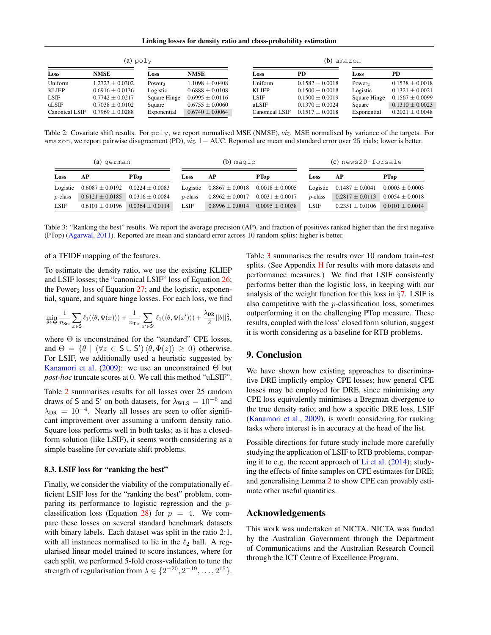Linking losses for density ratio and class-probability estimation

<span id="page-7-0"></span>

| $(a)$ poly     |                     |                    |                     | (b) amazon     |                     |                    |                     |  |
|----------------|---------------------|--------------------|---------------------|----------------|---------------------|--------------------|---------------------|--|
| Loss           | <b>NMSE</b>         | Loss               | <b>NMSE</b>         | Loss           | PD                  | Loss               | PD                  |  |
| Uniform        | $1.2723 \pm 0.0302$ | Power <sub>2</sub> | $1.1098 \pm 0.0408$ | Uniform        | $0.1582 \pm 0.0018$ | Power <sub>2</sub> | $0.1538 \pm 0.0018$ |  |
| <b>KLIEP</b>   | $0.6916 \pm 0.0136$ | Logistic           | $0.6888 \pm 0.0108$ | <b>KLIEP</b>   | $0.1500 \pm 0.0018$ | Logistic           | $0.1321 + 0.0021$   |  |
| LSIF           | $0.7742 \pm 0.0217$ | Square Hinge       | $0.6995 \pm 0.0116$ | <b>LSIF</b>    | $0.1500 \pm 0.0019$ | Square Hinge       | $0.1567 \pm 0.0099$ |  |
| uLSIF          | $0.7038 \pm 0.0102$ | Square             | $0.6755 \pm 0.0060$ | uLSIF          | $0.1370 \pm 0.0024$ | Square             | $0.1310 \pm 0.0023$ |  |
| Canonical LSIF | $0.7969 + 0.0288$   | Exponential        | $0.6740 + 0.0064$   | Canonical LSIF | $0.1517 + 0.0018$   | Exponential        | $0.2021 + 0.0048$   |  |

Table 2: Covariate shift results. For poly, we report normalised MSE (NMSE), *viz.* MSE normalised by variance of the targets. For amazon, we report pairwise disagreement (PD), *viz.* 1− AUC. Reported are mean and standard error over 25 trials; lower is better.

<span id="page-7-1"></span>

| (a) german  |                     |                     | $(b)$ magic     |                     |                     | (c) news20-forsale |                     |                     |
|-------------|---------------------|---------------------|-----------------|---------------------|---------------------|--------------------|---------------------|---------------------|
| Loss        | AР                  | <b>PTop</b>         | Loss            | АP                  | <b>PTop</b>         | Loss               | АP                  | <b>PTop</b>         |
| Logistic    | $0.6087 \pm 0.0192$ | $0.0224 \pm 0.0083$ | Logistic        | $0.8867 \pm 0.0018$ | $0.0018 \pm 0.0005$ | Logistic           | $0.1487 \pm 0.0041$ | $0.0003 \pm 0.0003$ |
| $p$ -class  | $0.6121 \pm 0.0185$ | $0.0316 \pm 0.0084$ | <i>n</i> -class | $0.8962 \pm 0.0017$ | $0.0031 \pm 0.0017$ | $p$ -class         | $0.2817 \pm 0.0113$ | $0.0054 \pm 0.0018$ |
| <b>LSIF</b> | $0.6101 + 0.0196$   | $0.0364 + 0.0114$   | <b>LSIF</b>     | $0.8996 \pm 0.0014$ | $0.0095 + 0.0038$   | LSIF               | $0.2351 + 0.0106$   | $0.0101 + 0.0014$   |

Table 3: "Ranking the best" results. We report the average precision (AP), and fraction of positives ranked higher than the first negative (PTop) [\(Agarwal,](#page-8-21) [2011\)](#page-8-21). Reported are mean and standard error across 10 random splits; higher is better.

## of a TFIDF mapping of the features.

To estimate the density ratio, we use the existing KLIEP and LSIF losses; the "canonical LSIF" loss of Equation [26;](#page-5-2) the Power<sub>2</sub> loss of Equation  $27$ ; and the logistic, exponential, square, and square hinge losses. For each loss, we find

$$
\min_{\theta\in\Theta} \frac{1}{n_\text{Src}}\sum_{x\in\mathsf{S}} \ell_1(\langle \theta, \Phi(x)\rangle) + \frac{1}{n_\text{Tar}}\sum_{x'\in\mathsf{S}'} \ell_1(\langle \theta, \Phi(x')\rangle) + \frac{\lambda_\text{DR}}{2}||\theta||_2^2,
$$

where  $\Theta$  is unconstrained for the "standard" CPE losses, and  $\Theta = \{ \theta \mid (\forall z \in S \cup S') \langle \theta, \Phi(z) \rangle \geq 0 \}$  otherwise. For LSIF, we additionally used a heuristic suggested by [Kanamori et al.](#page-8-1) [\(2009\)](#page-8-1): we use an unconstrained  $\Theta$  but *post-hoc* truncate scores at 0. We call this method "uLSIF".

Table [2](#page-7-0) summarises results for all losses over 25 random draws of S and S' on both datasets, for  $\lambda_{\text{WLS}} = 10^{-6}$  and  $\lambda_{\text{DR}} = 10^{-4}$ . Nearly all losses are seen to offer significant improvement over assuming a uniform density ratio. Square loss performs well in both tasks; as it has a closedform solution (like LSIF), it seems worth considering as a simple baseline for covariate shift problems.

#### <span id="page-7-2"></span>8.3. LSIF loss for "ranking the best"

Finally, we consider the viability of the computationally efficient LSIF loss for the "ranking the best" problem, comparing its performance to logistic regression and the p-classification loss (Equation [28\)](#page-5-4) for  $p = 4$ . We compare these losses on several standard benchmark datasets with binary labels. Each dataset was split in the ratio 2:1, with all instances normalised to lie in the  $\ell_2$  ball. A regularised linear model trained to score instances, where for each split, we performed 5-fold cross-validation to tune the strength of regularisation from  $\lambda \in \{2^{-20}, 2^{-19}, \dots, 2^{15}\}.$  Table [3](#page-7-1) summarises the results over 10 random train–test splits. (See Appendix [H](#page-20-0) for results with more datasets and performance measures.) We find that LSIF consistently performs better than the logistic loss, in keeping with our analysis of the weight function for this loss in  $\S7$ . LSIF is also competitive with the  $p$ -classification loss, sometimes outperforming it on the challenging PTop measure. These results, coupled with the loss' closed form solution, suggest it is worth considering as a baseline for RTB problems.

## 9. Conclusion

We have shown how existing approaches to discriminative DRE implictly employ CPE losses; how general CPE losses may be employed for DRE, since minimising *any* CPE loss equivalently minimises a Bregman divergence to the true density ratio; and how a specific DRE loss, LSIF [\(Kanamori et al.,](#page-8-1) [2009\)](#page-8-1), is worth considering for ranking tasks where interest is in accuracy at the head of the list.

Possible directions for future study include more carefully studying the application of LSIF to RTB problems, comparing it to e.g. the recent approach of  $Li$  et al. [\(2014\)](#page-8-22); studying the effects of finite samples on CPE estimates for DRE; and generalising Lemma [2](#page-3-1) to show CPE can provably estimate other useful quantities.

## Acknowledgements

This work was undertaken at NICTA. NICTA was funded by the Australian Government through the Department of Communications and the Australian Research Council through the ICT Centre of Excellence Program.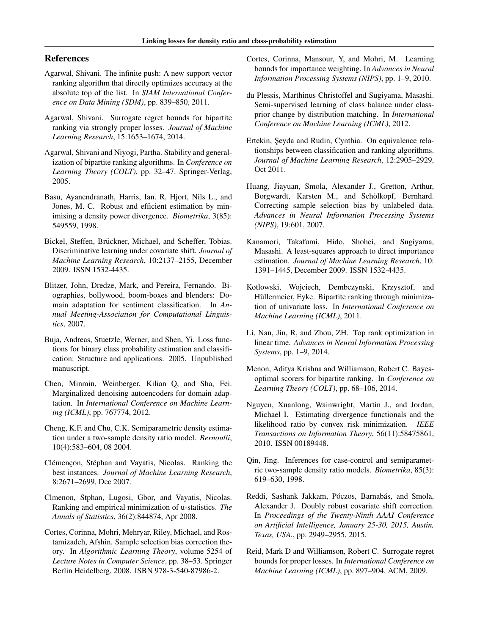## References

- <span id="page-8-21"></span>Agarwal, Shivani. The infinite push: A new support vector ranking algorithm that directly optimizes accuracy at the absolute top of the list. In *SIAM International Conference on Data Mining (SDM)*, pp. 839–850, 2011.
- <span id="page-8-15"></span>Agarwal, Shivani. Surrogate regret bounds for bipartite ranking via strongly proper losses. *Journal of Machine Learning Research*, 15:1653–1674, 2014.
- <span id="page-8-12"></span>Agarwal, Shivani and Niyogi, Partha. Stability and generalization of bipartite ranking algorithms. In *Conference on Learning Theory (COLT)*, pp. 32–47. Springer-Verlag, 2005.
- <span id="page-8-11"></span>Basu, Ayanendranath, Harris, Ian. R, Hjort, Nils L., and Jones, M. C. Robust and efficient estimation by minimising a density power divergence. *Biometrika*, 3(85): 549559, 1998.
- <span id="page-8-3"></span>Bickel, Steffen, Brückner, Michael, and Scheffer, Tobias. Discriminative learning under covariate shift. *Journal of Machine Learning Research*, 10:2137–2155, December 2009. ISSN 1532-4435.
- <span id="page-8-19"></span>Blitzer, John, Dredze, Mark, and Pereira, Fernando. Biographies, bollywood, boom-boxes and blenders: Domain adaptation for sentiment classification. In *Annual Meeting-Association for Computational Linguistics*, 2007.
- <span id="page-8-2"></span>Buja, Andreas, Stuetzle, Werner, and Shen, Yi. Loss functions for binary class probability estimation and classification: Structure and applications. 2005. Unpublished manuscript.
- <span id="page-8-20"></span>Chen, Minmin, Weinberger, Kilian Q, and Sha, Fei. Marginalized denoising autoencoders for domain adaptation. In *International Conference on Machine Learning (ICML)*, pp. 767774, 2012.
- <span id="page-8-5"></span>Cheng, K.F. and Chu, C.K. Semiparametric density estimation under a two-sample density ratio model. *Bernoulli*, 10(4):583–604, 08 2004.
- <span id="page-8-16"></span>Clémençon, Stéphan and Vayatis, Nicolas. Ranking the best instances. *Journal of Machine Learning Research*, 8:2671–2699, Dec 2007.
- <span id="page-8-13"></span>Clmenon, Stphan, Lugosi, Gbor, and Vayatis, Nicolas. Ranking and empirical minimization of u-statistics. *The Annals of Statistics*, 36(2):844874, Apr 2008.
- <span id="page-8-10"></span>Cortes, Corinna, Mohri, Mehryar, Riley, Michael, and Rostamizadeh, Afshin. Sample selection bias correction theory. In *Algorithmic Learning Theory*, volume 5254 of *Lecture Notes in Computer Science*, pp. 38–53. Springer Berlin Heidelberg, 2008. ISBN 978-3-540-87986-2.
- <span id="page-8-6"></span>Cortes, Corinna, Mansour, Y, and Mohri, M. Learning bounds for importance weighting. In *Advances in Neural Information Processing Systems (NIPS)*, pp. 1–9, 2010.
- <span id="page-8-8"></span>du Plessis, Marthinus Christoffel and Sugiyama, Masashi. Semi-supervised learning of class balance under classprior change by distribution matching. In *International Conference on Machine Learning (ICML)*, 2012.
- <span id="page-8-17"></span>Ertekin, Şeyda and Rudin, Cynthia. On equivalence relationships between classification and ranking algorithms. *Journal of Machine Learning Research*, 12:2905–2929, Oct 2011.
- <span id="page-8-0"></span>Huang, Jiayuan, Smola, Alexander J., Gretton, Arthur, Borgwardt, Karsten M., and Schölkopf, Bernhard. Correcting sample selection bias by unlabeled data. *Advances in Neural Information Processing Systems (NIPS)*, 19:601, 2007.
- <span id="page-8-1"></span>Kanamori, Takafumi, Hido, Shohei, and Sugiyama, Masashi. A least-squares approach to direct importance estimation. *Journal of Machine Learning Research*, 10: 1391–1445, December 2009. ISSN 1532-4435.
- <span id="page-8-14"></span>Kotlowski, Wojciech, Dembczynski, Krzysztof, and Hüllermeier, Eyke. Bipartite ranking through minimization of univariate loss. In *International Conference on Machine Learning (ICML)*, 2011.
- <span id="page-8-22"></span>Li, Nan, Jin, R, and Zhou, ZH. Top rank optimization in linear time. *Advances in Neural Information Processing Systems*, pp. 1–9, 2014.
- <span id="page-8-18"></span>Menon, Aditya Krishna and Williamson, Robert C. Bayesoptimal scorers for bipartite ranking. In *Conference on Learning Theory (COLT)*, pp. 68–106, 2014.
- <span id="page-8-23"></span>Nguyen, Xuanlong, Wainwright, Martin J., and Jordan, Michael I. Estimating divergence functionals and the likelihood ratio by convex risk minimization. *IEEE Transactions on Information Theory*, 56(11):58475861, 2010. ISSN 00189448.
- <span id="page-8-4"></span>Qin, Jing. Inferences for case-control and semiparametric two-sample density ratio models. *Biometrika*, 85(3): 619–630, 1998.
- <span id="page-8-7"></span>Reddi, Sashank Jakkam, Póczos, Barnabás, and Smola, Alexander J. Doubly robust covariate shift correction. In *Proceedings of the Twenty-Ninth AAAI Conference on Artificial Intelligence, January 25-30, 2015, Austin, Texas, USA.*, pp. 2949–2955, 2015.
- <span id="page-8-9"></span>Reid, Mark D and Williamson, Robert C. Surrogate regret bounds for proper losses. In *International Conference on Machine Learning (ICML)*, pp. 897–904. ACM, 2009.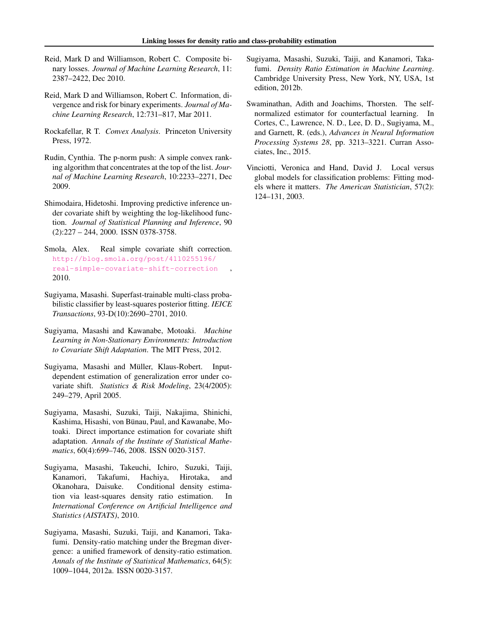- <span id="page-9-5"></span>Reid, Mark D and Williamson, Robert C. Composite binary losses. *Journal of Machine Learning Research*, 11: 2387–2422, Dec 2010.
- <span id="page-9-11"></span>Reid, Mark D and Williamson, Robert C. Information, divergence and risk for binary experiments. *Journal of Machine Learning Research*, 12:731–817, Mar 2011.
- <span id="page-9-14"></span>Rockafellar, R T. *Convex Analysis*. Princeton University Press, 1972.
- <span id="page-9-12"></span>Rudin, Cynthia. The p-norm push: A simple convex ranking algorithm that concentrates at the top of the list. *Journal of Machine Learning Research*, 10:2233–2271, Dec 2009.
- <span id="page-9-0"></span>Shimodaira, Hidetoshi. Improving predictive inference under covariate shift by weighting the log-likelihood function. *Journal of Statistical Planning and Inference*, 90 (2):227 – 244, 2000. ISSN 0378-3758.
- <span id="page-9-9"></span>Smola, Alex. Real simple covariate shift correction. [http://blog.smola.org/post/4110255196/](http://blog.smola.org/post/4110255196/real-simple-covariate-shift-correction) [real-simple-covariate-shift-correction](http://blog.smola.org/post/4110255196/real-simple-covariate-shift-correction) , 2010.
- <span id="page-9-7"></span>Sugiyama, Masashi. Superfast-trainable multi-class probabilistic classifier by least-squares posterior fitting. *IEICE Transactions*, 93-D(10):2690–2701, 2010.
- <span id="page-9-1"></span>Sugiyama, Masashi and Kawanabe, Motoaki. *Machine Learning in Non-Stationary Environments: Introduction to Covariate Shift Adaptation*. The MIT Press, 2012.
- <span id="page-9-3"></span>Sugiyama, Masashi and Müller, Klaus-Robert. Inputdependent estimation of generalization error under covariate shift. *Statistics & Risk Modeling*, 23(4/2005): 249–279, April 2005.
- <span id="page-9-4"></span>Sugiyama, Masashi, Suzuki, Taiji, Nakajima, Shinichi, Kashima, Hisashi, von Bünau, Paul, and Kawanabe, Motoaki. Direct importance estimation for covariate shift adaptation. *Annals of the Institute of Statistical Mathematics*, 60(4):699–746, 2008. ISSN 0020-3157.
- <span id="page-9-6"></span>Sugiyama, Masashi, Takeuchi, Ichiro, Suzuki, Taiji, Kanamori, Takafumi, Hachiya, Hirotaka, and Okanohara, Daisuke. Conditional density estimation via least-squares density ratio estimation. In *International Conference on Artificial Intelligence and Statistics (AISTATS)*, 2010.
- <span id="page-9-10"></span>Sugiyama, Masashi, Suzuki, Taiji, and Kanamori, Takafumi. Density-ratio matching under the Bregman divergence: a unified framework of density-ratio estimation. *Annals of the Institute of Statistical Mathematics*, 64(5): 1009–1044, 2012a. ISSN 0020-3157.
- <span id="page-9-2"></span>Sugiyama, Masashi, Suzuki, Taiji, and Kanamori, Takafumi. *Density Ratio Estimation in Machine Learning*. Cambridge University Press, New York, NY, USA, 1st edition, 2012b.
- <span id="page-9-8"></span>Swaminathan, Adith and Joachims, Thorsten. The selfnormalized estimator for counterfactual learning. In Cortes, C., Lawrence, N. D., Lee, D. D., Sugiyama, M., and Garnett, R. (eds.), *Advances in Neural Information Processing Systems 28*, pp. 3213–3221. Curran Associates, Inc., 2015.
- <span id="page-9-13"></span>Vinciotti, Veronica and Hand, David J. Local versus global models for classification problems: Fitting models where it matters. *The American Statistician*, 57(2): 124–131, 2003.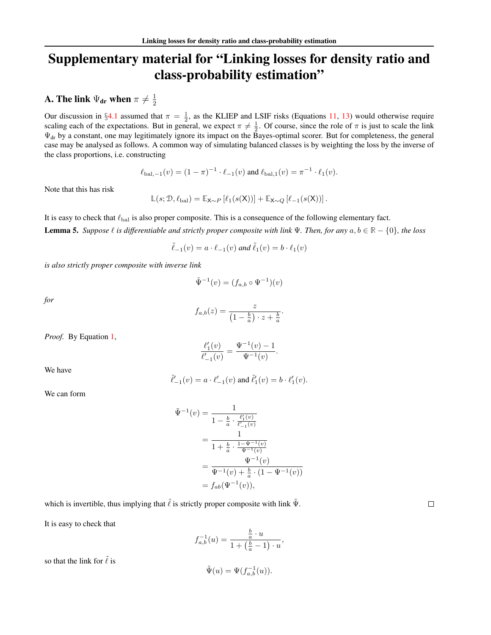# Supplementary material for "Linking losses for density ratio and class-probability estimation"

#### <span id="page-10-0"></span>A. The link  $\Psi_{\textbf{dr}}$  when  $\pi\neq \frac{1}{2}$ 2

Our discussion in §[4.1](#page-2-7) assumed that  $\pi = \frac{1}{2}$ , as the KLIEP and LSIF risks (Equations [11,](#page-2-9) [13\)](#page-2-10) would otherwise require scaling each of the expectations. But in general, we expect  $\pi \neq \frac{1}{2}$ . Of course, since the role of  $\pi$  is just to scale the link  $\Psi_{dr}$  by a constant, one may legitimately ignore its impact on the Bayes-optimal scorer. But for completeness, the general case may be analysed as follows. A common way of simulating balanced classes is by weighting the loss by the inverse of the class proportions, i.e. constructing

$$
\ell_{\text{bal},-1}(v) = (1-\pi)^{-1} \cdot \ell_{-1}(v) \text{ and } \ell_{\text{bal},1}(v) = \pi^{-1} \cdot \ell_1(v).
$$

Note that this has risk

$$
\mathbb{L}(s; \mathcal{D}, \ell_{\text{bal}}) = \mathbb{E}_{\mathbf{X} \sim P} \left[ \ell_1(s(\mathbf{X})) \right] + \mathbb{E}_{\mathbf{X} \sim Q} \left[ \ell_{-1}(s(\mathbf{X})) \right].
$$

<span id="page-10-1"></span>It is easy to check that  $\ell_{\rm bal}$  is also proper composite. This is a consequence of the following elementary fact. **Lemma 5.** *Suppose*  $\ell$  *is differentiable and strictly proper composite with link*  $\Psi$ *. Then, for any*  $a, b \in \mathbb{R} - \{0\}$ *, the loss* 

$$
\tilde{\ell}_{-1}(v) = a \cdot \ell_{-1}(v) \text{ and } \tilde{\ell}_1(v) = b \cdot \ell_1(v)
$$

*is also strictly proper composite with inverse link*

$$
\tilde{\Psi}^{-1}(v) = (f_{a,b} \circ \Psi^{-1})(v)
$$

*for*

$$
f_{a,b}(z) = \frac{z}{\left(1 - \frac{b}{a}\right) \cdot z + \frac{b}{a}}.
$$

*Proof.* By Equation [1,](#page-1-3)

$$
\frac{\ell_1'(v)}{\ell_{-1}'(v)}=\frac{\Psi^{-1}(v)-1}{\Psi^{-1}(v)}.
$$

We have

$$
\tilde{\ell}'_{-1}(v) = a \cdot \ell'_{-1}(v)
$$
 and  $\tilde{\ell}'_1(v) = b \cdot \ell'_1(v)$ .

We can form

$$
\tilde{\Psi}^{-1}(v) = \frac{1}{1 - \frac{b}{a} \cdot \frac{\ell'_1(v)}{\ell'_{-1}(v)}}
$$
\n
$$
= \frac{1}{1 + \frac{b}{a} \cdot \frac{1 - \Psi^{-1}(v)}{\Psi^{-1}(v)}}
$$
\n
$$
= \frac{\Psi^{-1}(v)}{\Psi^{-1}(v) + \frac{b}{a} \cdot (1 - \Psi^{-1}(v))}
$$
\n
$$
= f_{ab}(\Psi^{-1}(v)),
$$

which is invertible, thus implying that  $\tilde{\ell}$  is strictly proper composite with link  $\tilde{\Psi}$ .

It is easy to check that

$$
f_{a,b}^{-1}(u) = \frac{\frac{b}{a} \cdot u}{1 + (\frac{b}{a} - 1) \cdot u},
$$

so that the link for  $\tilde{\ell}$  is

$$
\tilde{\Psi}(u) = \Psi(f_{a,b}^{-1}(u)).
$$

 $\Box$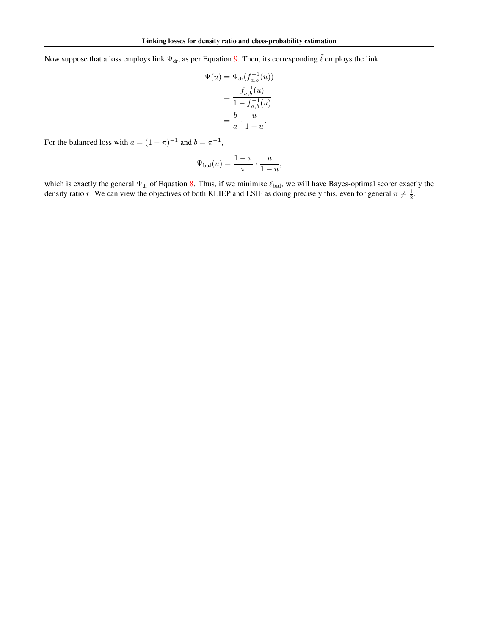Now suppose that a loss employs link  $\Psi_{dr}$ , as per Equation [9.](#page-2-11) Then, its corresponding  $\tilde{\ell}$  employs the link

$$
\tilde{\Psi}(u) = \Psi_{\mathrm{dr}}(f_{a,b}^{-1}(u))
$$
\n
$$
= \frac{f_{a,b}^{-1}(u)}{1 - f_{a,b}^{-1}(u)}
$$
\n
$$
= \frac{b}{a} \cdot \frac{u}{1 - u}.
$$

For the balanced loss with  $a = (1 - \pi)^{-1}$  and  $b = \pi^{-1}$ ,

$$
\Psi_{\rm bal}(u) = \frac{1-\pi}{\pi} \cdot \frac{u}{1-u},
$$

which is exactly the general  $\Psi_{dr}$  of Equation [8.](#page-1-6) Thus, if we minimise  $\ell_{bal}$ , we will have Bayes-optimal scorer exactly the density ratio r. We can view the objectives of both KLIEP and LSIF as doing precisely this, even for general  $\pi \neq \frac{1}{2}$ .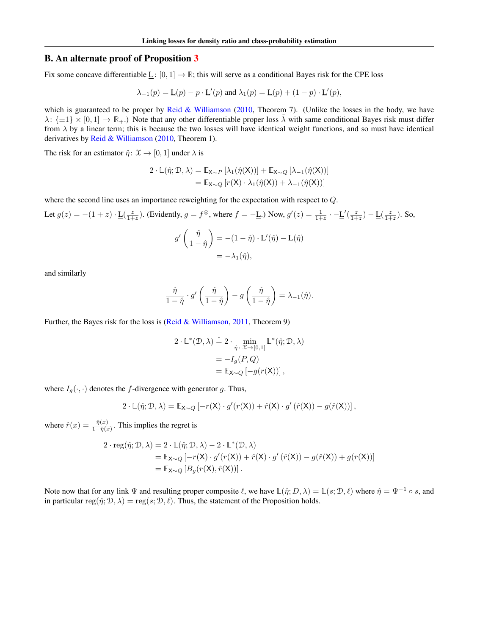## <span id="page-12-0"></span>B. An alternate proof of Proposition [3](#page-3-0)

Fix some concave differentiable  $\underline{L}$ :  $[0, 1] \rightarrow \mathbb{R}$ ; this will serve as a conditional Bayes risk for the CPE loss

$$
\lambda_{-1}(p) = \underline{\mathsf{L}}(p) - p \cdot \underline{\mathsf{L}}'(p)
$$
 and 
$$
\lambda_1(p) = \underline{\mathsf{L}}(p) + (1 - p) \cdot \underline{\mathsf{L}}'(p),
$$

which is guaranteed to be proper by [Reid & Williamson](#page-9-5) [\(2010,](#page-9-5) Theorem 7). (Unlike the losses in the body, we have  $\lambda: \{\pm 1\} \times [0,1] \to \mathbb{R}_+$ .) Note that any other differentiable proper loss  $\tilde{\lambda}$  with same conditional Bayes risk must differ from  $\lambda$  by a linear term; this is because the two losses will have identical weight functions, and so must have identical derivatives by [Reid & Williamson](#page-9-5) [\(2010,](#page-9-5) Theorem 1).

The risk for an estimator  $\hat{\eta}$ :  $\mathcal{X} \rightarrow [0, 1]$  under  $\lambda$  is

$$
2 \cdot \mathbb{L}(\hat{\eta}; \mathcal{D}, \lambda) = \mathbb{E}_{\mathbf{X} \sim P} [\lambda_1(\hat{\eta}(\mathbf{X}))] + \mathbb{E}_{\mathbf{X} \sim Q} [\lambda_{-1}(\hat{\eta}(\mathbf{X}))]
$$
  
= 
$$
\mathbb{E}_{\mathbf{X} \sim Q} [r(\mathbf{X}) \cdot \lambda_1(\hat{\eta}(\mathbf{X})) + \lambda_{-1}(\hat{\eta}(\mathbf{X}))]
$$

where the second line uses an importance reweighting for the expectation with respect to Q.

Let 
$$
g(z) = -(1+z) \cdot \underline{L}(\frac{z}{1+z})
$$
. (Evidently,  $g = f^{\circledast}$ , where  $f = -\underline{L}$ .) Now,  $g'(z) = \frac{1}{1+z} \cdot -\underline{L}'(\frac{z}{1+z}) - \underline{L}(\frac{z}{1+z})$ . So,

$$
g'\left(\frac{\hat{\eta}}{1-\hat{\eta}}\right) = -(1-\hat{\eta}) \cdot \underline{\mathbf{L}}'(\hat{\eta}) - \underline{\mathbf{L}}(\hat{\eta})
$$

$$
= -\lambda_1(\hat{\eta}),
$$

and similarly

$$
\frac{\hat{\eta}}{1-\hat{\eta}}\cdot g'\left(\frac{\hat{\eta}}{1-\hat{\eta}}\right)-g\left(\frac{\hat{\eta}}{1-\hat{\eta}}\right)=\lambda_{-1}(\hat{\eta}).
$$

Further, the Bayes risk for the loss is [\(Reid & Williamson,](#page-9-11) [2011,](#page-9-11) Theorem 9)

$$
2 \cdot \mathbb{L}^*(\mathcal{D}, \lambda) \doteq 2 \cdot \min_{\hat{\eta}: \mathfrak{X} \to [0,1]} \mathbb{L}^*(\hat{\eta}; \mathcal{D}, \lambda)
$$
  
=  $-I_g(P, Q)$   
=  $\mathbb{E}_{\mathbf{X} \sim Q} [-g(r(\mathbf{X}))],$ 

where  $I_g(\cdot, \cdot)$  denotes the f-divergence with generator g. Thus,

$$
2 \cdot \mathbb{L}(\hat{\eta}; \mathcal{D}, \lambda) = \mathbb{E}_{\mathsf{X} \sim Q} \left[ - r(\mathsf{X}) \cdot g'(r(\mathsf{X})) + \hat{r}(\mathsf{X}) \cdot g'\left(\hat{r}(\mathsf{X})\right) - g(\hat{r}(\mathsf{X})) \right],
$$

where  $\hat{r}(x) = \frac{\hat{\eta}(x)}{1 - \hat{\eta}(x)}$ . This implies the regret is

$$
2 \cdot \text{reg}(\hat{\eta}; \mathcal{D}, \lambda) = 2 \cdot \mathbb{L}(\hat{\eta}; \mathcal{D}, \lambda) - 2 \cdot \mathbb{L}^*(\mathcal{D}, \lambda)
$$
  
=  $\mathbb{E}_{\mathbf{X} \sim Q} [-r(\mathbf{X}) \cdot g'(r(\mathbf{X})) + \hat{r}(\mathbf{X}) \cdot g'(\hat{r}(\mathbf{X})) - g(\hat{r}(\mathbf{X})) + g(r(\mathbf{X}))]$   
=  $\mathbb{E}_{\mathbf{X} \sim Q} [B_g(r(\mathbf{X}), \hat{r}(\mathbf{X}))].$ 

Note now that for any link  $\Psi$  and resulting proper composite  $\ell$ , we have  $\mathbb{L}(\hat{\eta}; D, \lambda) = \mathbb{L}(s; \mathcal{D}, \ell)$  where  $\hat{\eta} = \Psi^{-1} \circ s$ , and in particular reg( $\hat{\eta}$ ;  $\mathcal{D}$ ,  $\lambda$ ) = reg( $s$ ;  $\mathcal{D}$ ,  $\ell$ ). Thus, the statement of the Proposition holds.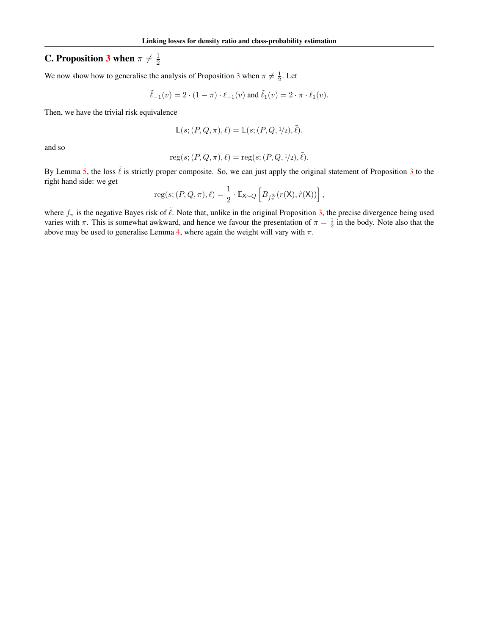#### <span id="page-13-0"></span>**C.** Proposition [3](#page-3-0) when  $\pi \neq \frac{1}{2}$ 2

We now show how to generalise the analysis of Proposition [3](#page-3-0) when  $\pi \neq \frac{1}{2}$ . Let

$$
\tilde{\ell}_{-1}(v) = 2 \cdot (1 - \pi) \cdot \ell_{-1}(v) \text{ and } \tilde{\ell}_{1}(v) = 2 \cdot \pi \cdot \ell_{1}(v).
$$

Then, we have the trivial risk equivalence

$$
\mathbb{L}(s; (P,Q,\pi), \ell) = \mathbb{L}(s; (P,Q, \frac{1}{2}), \tilde{\ell}).
$$

and so

reg
$$
(s; (P, Q, \pi), \ell) = \text{reg}(s; (P, Q, \frac{1}{2}), \tilde{\ell}).
$$

By Lemma [5,](#page-10-1) the loss  $\tilde{\ell}$  is strictly proper composite. So, we can just apply the original statement of Proposition [3](#page-3-0) to the right hand side: we get

reg
$$
(s; (P, Q, \pi), \ell) = \frac{1}{2} \cdot \mathbb{E}_{\mathsf{X} \sim Q} \left[ B_{f_{\pi}^{\circledast}}(r(\mathsf{X}), \hat{r}(\mathsf{X})) \right],
$$

where  $f_{\pi}$  is the negative Bayes risk of  $\tilde{\ell}$ . Note that, unlike in the original Proposition [3,](#page-3-0) the precise divergence being used varies with  $\pi$ . This is somewhat awkward, and hence we favour the presentation of  $\pi = \frac{1}{2}$  in the body. Note also that the above may be used to generalise Lemma [4,](#page-4-0) where again the weight will vary with  $\pi$ .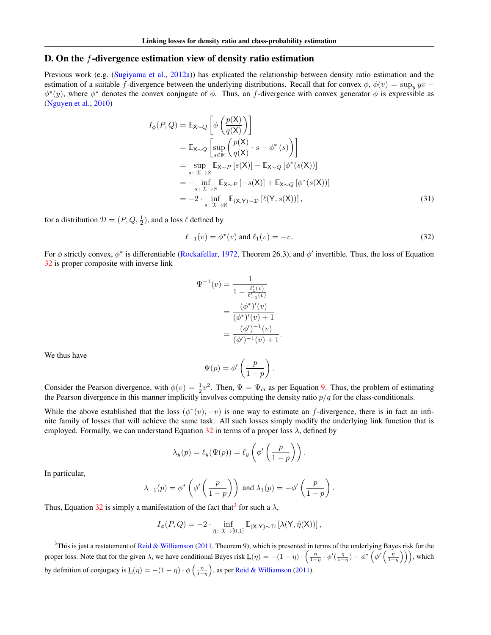## <span id="page-14-0"></span>D. On the  $f$ -divergence estimation view of density ratio estimation

Previous work (e.g. [\(Sugiyama et al.,](#page-9-10) [2012a\)](#page-9-10)) has explicated the relationship between density ratio estimation and the estimation of a suitable f-divergence between the underlying distributions. Recall that for convex  $\phi$ ,  $\phi(v) = \sup_u yv$  $\phi^*(y)$ , where  $\phi^*$  denotes the convex conjugate of  $\phi$ . Thus, an f-divergence with convex generator  $\phi$  is expressible as [\(Nguyen et al.,](#page-8-23) [2010\)](#page-8-23)

$$
I_{\phi}(P, Q) = \mathbb{E}_{\mathsf{X} \sim Q} \left[ \phi \left( \frac{p(\mathsf{X})}{q(\mathsf{X})} \right) \right]
$$
  
\n
$$
= \mathbb{E}_{\mathsf{X} \sim Q} \left[ \sup_{s \in \mathbb{R}} \left( \frac{p(\mathsf{X})}{q(\mathsf{X})} \cdot s - \phi^*(s) \right) \right]
$$
  
\n
$$
= \sup_{s \colon \mathsf{X} \to \mathbb{R}} \mathbb{E}_{\mathsf{X} \sim P} \left[ s(\mathsf{X}) \right] - \mathbb{E}_{\mathsf{X} \sim Q} \left[ \phi^*(s(\mathsf{X})) \right]
$$
  
\n
$$
= - \inf_{s \colon \mathsf{X} \to \mathbb{R}} \mathbb{E}_{\mathsf{X} \sim P} \left[ -s(\mathsf{X}) \right] + \mathbb{E}_{\mathsf{X} \sim Q} \left[ \phi^*(s(\mathsf{X})) \right]
$$
  
\n
$$
= -2 \cdot \inf_{s \colon \mathsf{X} \to \mathbb{R}} \mathbb{E}_{\mathsf{X} \sim P} \left[ e(\mathsf{Y}, s(\mathsf{X})) \right], \tag{31}
$$

for a distribution  $\mathcal{D} = (P, Q, \frac{1}{2})$ , and a loss  $\ell$  defined by

<span id="page-14-1"></span>
$$
\ell_{-1}(v) = \phi^*(v) \text{ and } \ell_1(v) = -v. \tag{32}
$$

For  $\phi$  strictly convex,  $\phi^*$  is differentiable [\(Rockafellar,](#page-9-14) [1972,](#page-9-14) Theorem 26.3), and  $\phi'$  invertible. Thus, the loss of Equation [32](#page-14-1) is proper composite with inverse link

$$
\Psi^{-1}(v) = \frac{1}{1 - \frac{\ell'_1(v)}{\ell'_{-1}(v)}}
$$

$$
= \frac{(\phi^*)'(v)}{(\phi^*)'(v) + 1}
$$

$$
= \frac{(\phi')^{-1}(v)}{(\phi')^{-1}(v) + 1}.
$$

We thus have

$$
\Psi(p) = \phi' \left( \frac{p}{1-p} \right).
$$

Consider the Pearson divergence, with  $\phi(v) = \frac{1}{2}v^2$ . Then,  $\Psi = \Psi_{dr}$  as per Equation [9.](#page-2-11) Thus, the problem of estimating the Pearson divergence in this manner implicitly involves computing the density ratio  $p/q$  for the class-conditionals.

While the above established that the loss  $(\phi^*(v), -v)$  is one way to estimate an f-divergence, there is in fact an infinite family of losses that will achieve the same task. All such losses simply modify the underlying link function that is employed. Formally, we can understand Equation  $32$  in terms of a proper loss  $\lambda$ , defined by

$$
\lambda_y(p) = \ell_y(\Psi(p)) = \ell_y\left(\phi'\left(\frac{p}{1-p}\right)\right).
$$

In particular,

$$
\lambda_{-1}(p) = \phi^* \left( \phi' \left( \frac{p}{1-p} \right) \right) \text{ and } \lambda_1(p) = -\phi' \left( \frac{p}{1-p} \right).
$$

Thus, Equation [32](#page-14-1) is simply a manifestation of the fact that<sup>[3](#page-14-2)</sup> for such a  $\lambda$ ,

$$
I_{\phi}(P,Q) = -2 \cdot \inf_{\hat{\eta}: \ \mathfrak{X} \to [0,1]} \mathbb{E}_{(\mathsf{X},\mathsf{Y}) \sim \mathcal{D}} \left[ \lambda(\mathsf{Y},\hat{\eta}(\mathsf{X})) \right],
$$

<span id="page-14-2"></span> $3$ This is just a restatement of [Reid & Williamson](#page-9-11) [\(2011,](#page-9-11) Theorem 9), which is presented in terms of the underlying Bayes risk for the proper loss. Note that for the given  $\lambda$ , we have conditional Bayes risk  $\underline{L}(\eta) = -(1 - \eta) \cdot \left( \frac{\eta}{1 - \eta} \cdot \phi'(\frac{\eta}{1 - \eta}) - \phi^* \left( \phi'(\frac{\eta}{1 - \eta}) \right) \right)$ , which by definition of conjugacy is  $\underline{L}(\eta) = -(1 - \eta) \cdot \phi\left(\frac{\eta}{1 - \eta}\right)$ , as per [Reid & Williamson](#page-9-11) [\(2011\)](#page-9-11).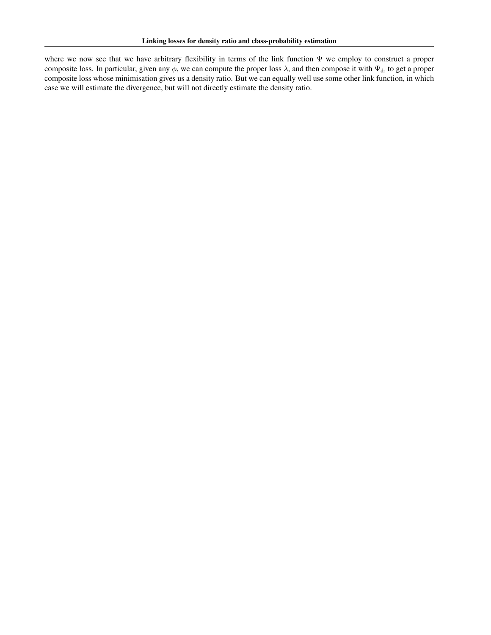where we now see that we have arbitrary flexibility in terms of the link function Ψ we employ to construct a proper composite loss. In particular, given any  $\phi$ , we can compute the proper loss  $\lambda$ , and then compose it with  $\Psi_{dr}$  to get a proper composite loss whose minimisation gives us a density ratio. But we can equally well use some other link function, in which case we will estimate the divergence, but will not directly estimate the density ratio.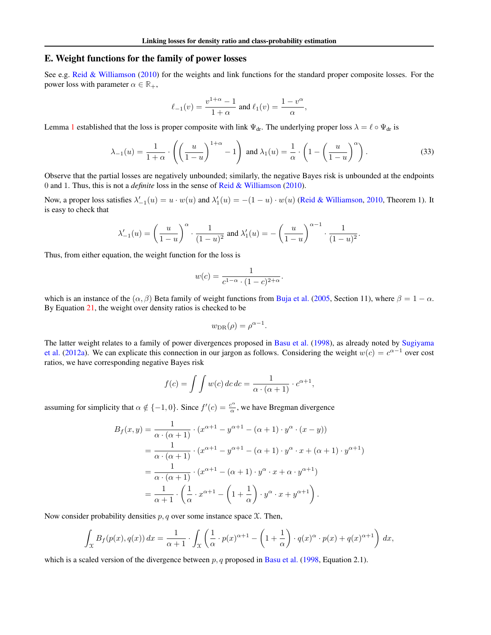## <span id="page-16-0"></span>E. Weight functions for the family of power losses

See e.g. [Reid & Williamson](#page-9-5) [\(2010\)](#page-9-5) for the weights and link functions for the standard proper composite losses. For the power loss with parameter  $\alpha \in \mathbb{R}_+$ ,

<span id="page-16-1"></span>
$$
\ell_{-1}(v) = \frac{v^{1+\alpha} - 1}{1+\alpha}
$$
 and  $\ell_1(v) = \frac{1-v^{\alpha}}{\alpha}$ ,

Lemma [1](#page-2-0) established that the loss is proper composite with link  $\Psi_{dr}$ . The underlying proper loss  $\lambda = \ell \circ \Psi_{dr}$  is

$$
\lambda_{-1}(u) = \frac{1}{1+\alpha} \cdot \left( \left( \frac{u}{1-u} \right)^{1+\alpha} - 1 \right) \text{ and } \lambda_1(u) = \frac{1}{\alpha} \cdot \left( 1 - \left( \frac{u}{1-u} \right)^{\alpha} \right). \tag{33}
$$

Observe that the partial losses are negatively unbounded; similarly, the negative Bayes risk is unbounded at the endpoints 0 and 1. Thus, this is not a *definite* loss in the sense of [Reid & Williamson](#page-9-5) [\(2010\)](#page-9-5).

Now, a proper loss satisfies  $\lambda'_{-1}(u) = u \cdot w(u)$  and  $\lambda'_1(u) = -(1-u) \cdot w(u)$  [\(Reid & Williamson,](#page-9-5) [2010,](#page-9-5) Theorem 1). It is easy to check that

$$
\lambda'_{-1}(u) = \left(\frac{u}{1-u}\right)^{\alpha} \cdot \frac{1}{(1-u)^2} \text{ and } \lambda'_1(u) = -\left(\frac{u}{1-u}\right)^{\alpha-1} \cdot \frac{1}{(1-u)^2}.
$$

Thus, from either equation, the weight function for the loss is

$$
w(c) = \frac{1}{c^{1-\alpha} \cdot (1-c)^{2+\alpha}}.
$$

which is an instance of the  $(\alpha, \beta)$  Beta family of weight functions from [Buja et al.](#page-8-2) [\(2005,](#page-8-2) Section 11), where  $\beta = 1 - \alpha$ . By Equation [21,](#page-4-2) the weight over density ratios is checked to be

$$
w_{\text{DR}}(\rho) = \rho^{\alpha - 1}.
$$

The latter weight relates to a family of power divergences proposed in [Basu et al.](#page-8-11) [\(1998\)](#page-8-11), as already noted by [Sugiyama](#page-9-10) [et al.](#page-9-10) [\(2012a\)](#page-9-10). We can explicate this connection in our jargon as follows. Considering the weight  $w(c) = c^{\alpha-1}$  over cost ratios, we have corresponding negative Bayes risk

$$
f(c) = \int \int w(c) \, dc \, dc = \frac{1}{\alpha \cdot (\alpha + 1)} \cdot c^{\alpha + 1},
$$

assuming for simplicity that  $\alpha \notin \{-1, 0\}$ . Since  $f'(c) = \frac{c^{\alpha}}{\alpha}$  $\frac{d^{2n}}{\alpha}$ , we have Bregman divergence

$$
B_f(x,y) = \frac{1}{\alpha \cdot (\alpha+1)} \cdot (x^{\alpha+1} - y^{\alpha+1} - (\alpha+1) \cdot y^{\alpha} \cdot (x-y))
$$
  
= 
$$
\frac{1}{\alpha \cdot (\alpha+1)} \cdot (x^{\alpha+1} - y^{\alpha+1} - (\alpha+1) \cdot y^{\alpha} \cdot x + (\alpha+1) \cdot y^{\alpha+1})
$$
  
= 
$$
\frac{1}{\alpha \cdot (\alpha+1)} \cdot (x^{\alpha+1} - (\alpha+1) \cdot y^{\alpha} \cdot x + \alpha \cdot y^{\alpha+1})
$$
  
= 
$$
\frac{1}{\alpha+1} \cdot \left(\frac{1}{\alpha} \cdot x^{\alpha+1} - \left(1 + \frac{1}{\alpha}\right) \cdot y^{\alpha} \cdot x + y^{\alpha+1}\right).
$$

Now consider probability densities  $p, q$  over some instance space  $\mathfrak{X}$ . Then,

$$
\int_{\mathcal{X}} B_f(p(x), q(x)) dx = \frac{1}{\alpha + 1} \cdot \int_{\mathcal{X}} \left( \frac{1}{\alpha} \cdot p(x)^{\alpha + 1} - \left( 1 + \frac{1}{\alpha} \right) \cdot q(x)^{\alpha} \cdot p(x) + q(x)^{\alpha + 1} \right) dx,
$$

which is a scaled version of the divergence between  $p$ ,  $q$  proposed in [Basu et al.](#page-8-11) [\(1998,](#page-8-11) Equation 2.1).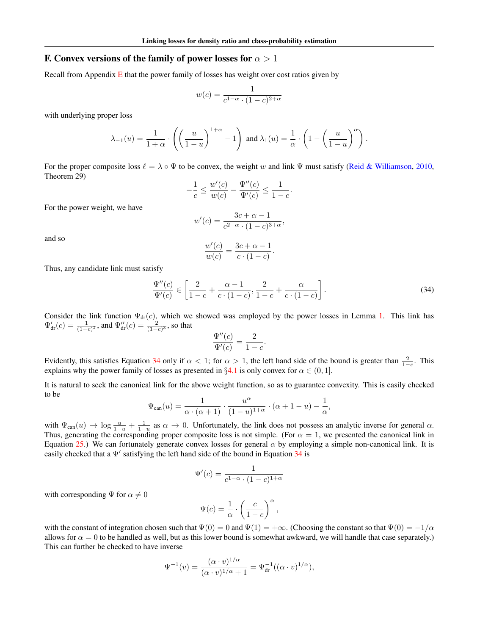## <span id="page-17-0"></span>F. Convex versions of the family of power losses for  $\alpha > 1$

Recall from Appendix  $E$  that the power family of losses has weight over cost ratios given by

$$
w(c) = \frac{1}{c^{1-\alpha} \cdot (1-c)^{2+\alpha}}
$$

with underlying proper loss

$$
\lambda_{-1}(u) = \frac{1}{1+\alpha} \cdot \left( \left( \frac{u}{1-u} \right)^{1+\alpha} - 1 \right) \text{ and } \lambda_{1}(u) = \frac{1}{\alpha} \cdot \left( 1 - \left( \frac{u}{1-u} \right)^{\alpha} \right).
$$

For the proper composite loss  $\ell = \lambda \circ \Psi$  to be convex, the weight w and link  $\Psi$  must satisfy [\(Reid & Williamson,](#page-9-5) [2010,](#page-9-5) Theorem 29)

$$
-\frac{1}{c} \le \frac{w'(c)}{w(c)} - \frac{\Psi''(c)}{\Psi'(c)} \le \frac{1}{1-c}.
$$

For the power weight, we have

$$
w'(c) = \frac{3c + \alpha - 1}{c^{2-\alpha} \cdot (1-c)^{3+\alpha}},
$$

and so

$$
\frac{w'(c)}{w(c)} = \frac{3c + \alpha - 1}{c \cdot (1 - c)}.
$$

Thus, any candidate link must satisfy

<span id="page-17-1"></span>
$$
\frac{\Psi''(c)}{\Psi'(c)} \in \left[\frac{2}{1-c} + \frac{\alpha - 1}{c \cdot (1-c)}, \frac{2}{1-c} + \frac{\alpha}{c \cdot (1-c)}\right].
$$
\n(34)

Consider the link function  $\Psi_{dr}(c)$ , which we showed was employed by the power losses in Lemma [1.](#page-2-0) This link has  $\Psi_{dr}'(c) = \frac{1}{(1-c)^2}$ , and  $\Psi_{dr}''(c) = \frac{2}{(1-c)^3}$ , so that

$$
\frac{\Psi''(c)}{\Psi'(c)} = \frac{2}{1-c}.
$$

Evidently, this satisfies Equation [34](#page-17-1) only if  $\alpha < 1$ ; for  $\alpha > 1$ , the left hand side of the bound is greater than  $\frac{2}{1-c}$ . This explains why the power family of losses as presented in §[4.1](#page-2-7) is only convex for  $\alpha \in (0, 1]$ .

It is natural to seek the canonical link for the above weight function, so as to guarantee convexity. This is easily checked to be

$$
\Psi_{\mathrm{can}}(u)=\frac{1}{\alpha\cdot(\alpha+1)}\cdot\frac{u^\alpha}{(1-u)^{1+\alpha}}\cdot(\alpha+1-u)-\frac{1}{\alpha},
$$

with  $\Psi_{\text{can}}(u) \to \log \frac{u}{1-u} + \frac{1}{1-u}$  as  $\alpha \to 0$ . Unfortunately, the link does not possess an analytic inverse for general  $\alpha$ . Thus, generating the corresponding proper composite loss is not simple. (For  $\alpha = 1$ , we presented the canonical link in Equation [25.](#page-5-5)) We can fortunately generate convex losses for general  $\alpha$  by employing a simple non-canonical link. It is easily checked that a  $\Psi'$  satisfying the left hand side of the bound in Equation [34](#page-17-1) is

$$
\Psi'(c) = \frac{1}{c^{1-\alpha} \cdot (1-c)^{1+\alpha}}
$$

with corresponding  $\Psi$  for  $\alpha \neq 0$ 

$$
\Psi(c) = \frac{1}{\alpha} \cdot \left(\frac{c}{1-c}\right)^{\alpha},
$$

with the constant of integration chosen such that  $\Psi(0) = 0$  and  $\Psi(1) = +\infty$ . (Choosing the constant so that  $\Psi(0) = -1/\alpha$ allows for  $\alpha = 0$  to be handled as well, but as this lower bound is somewhat awkward, we will handle that case separately.) This can further be checked to have inverse

$$
\Psi^{-1}(v) = \frac{(\alpha \cdot v)^{1/\alpha}}{(\alpha \cdot v)^{1/\alpha} + 1} = \Psi_{\text{dr}}^{-1}((\alpha \cdot v)^{1/\alpha}),
$$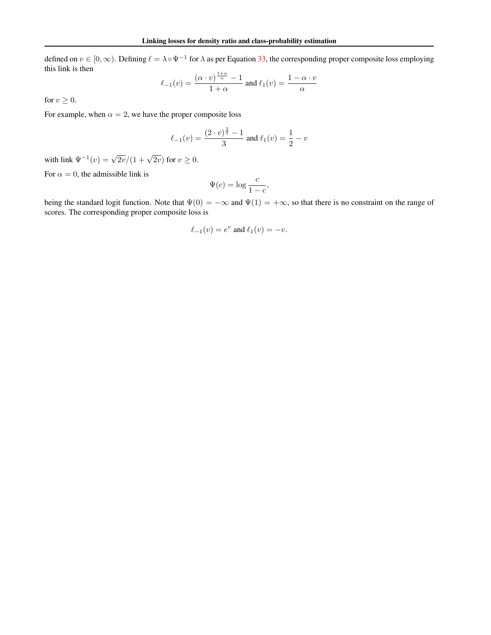defined on  $v \in [0,\infty)$ . Defining  $\ell = \lambda \circ \Psi^{-1}$  for  $\lambda$  as per Equation [33,](#page-16-1) the corresponding proper composite loss employing this link is then 1+α

$$
\ell_{-1}(v) = \frac{(\alpha \cdot v)^{\frac{1+\alpha}{\alpha}} - 1}{1+\alpha} \text{ and } \ell_1(v) = \frac{1-\alpha \cdot v}{\alpha}
$$

for  $v \geq 0$ .

For example, when  $\alpha = 2$ , we have the proper composite loss

$$
\ell_{-1}(v) = \frac{(2 \cdot v)^{\frac{3}{2}} - 1}{3}
$$
 and  $\ell_1(v) = \frac{1}{2} - v$ 

with link  $\Psi^{-1}(v) = \sqrt{2v}/(1 + \sqrt{2v})$  for  $v \ge 0$ .

For  $\alpha = 0$ , the admissible link is

$$
\Psi(c) = \log \frac{c}{1 - c},
$$

being the standard logit function. Note that  $\Psi(0) = -\infty$  and  $\Psi(1) = +\infty$ , so that there is no constraint on the range of scores. The corresponding proper composite loss is

$$
\ell_{-1}(v) = e^v \text{ and } \ell_1(v) = -v.
$$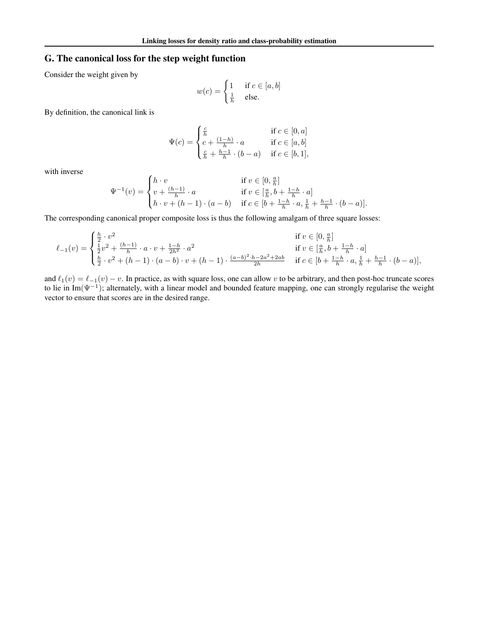## <span id="page-19-0"></span>G. The canonical loss for the step weight function

Consider the weight given by

$$
w(c) = \begin{cases} 1 & \text{if } c \in [a, b] \\ \frac{1}{h} & \text{else.} \end{cases}
$$

By definition, the canonical link is

$$
\Psi(c) = \begin{cases} \frac{c}{h} & \text{if } c \in [0, a] \\ c + \frac{(1-h)}{h} \cdot a & \text{if } c \in [a, b] \\ \frac{c}{h} + \frac{h-1}{h} \cdot (b-a) & \text{if } c \in [b, 1], \end{cases}
$$

with inverse

$$
\Psi^{-1}(v) = \begin{cases} h \cdot v & \text{if } v \in [0, \frac{a}{h}] \\ v + \frac{(h-1)}{h} \cdot a & \text{if } v \in [\frac{a}{h}, b + \frac{1-h}{h} \cdot a] \\ h \cdot v + (h-1) \cdot (a-b) & \text{if } c \in [b + \frac{1-h}{h} \cdot a, \frac{1}{h} + \frac{h-1}{h} \cdot (b-a)]. \end{cases}
$$

The corresponding canonical proper composite loss is thus the following amalgam of three square losses:

$$
\ell_{-1}(v) = \begin{cases} \frac{h}{2} \cdot v^{2} & \text{if } v \in [0, \frac{a}{h}] \\ \frac{1}{2}v^{2} + \frac{(h-1)}{h} \cdot a \cdot v + \frac{1-h}{2h^{2}} \cdot a^{2} & \text{if } v \in [\frac{a}{h}, b + \frac{1-h}{h} \cdot a] \\ \frac{h}{2} \cdot v^{2} + (h-1) \cdot (a-b) \cdot v + (h-1) \cdot \frac{(a-b)^{2} \cdot h - 2a^{2} + 2ab}{2h} & \text{if } c \in [b + \frac{1-h}{h} \cdot a, \frac{1}{h} + \frac{h-1}{h} \cdot (b-a)], \end{cases}
$$

and  $\ell_1(v) = \ell_{-1}(v) - v$ . In practice, as with square loss, one can allow v to be arbitrary, and then post-hoc truncate scores to lie in Im( $\Psi^{-1}$ ); alternately, with a linear model and bounded feature mapping, one can strongly regularise the weight vector to ensure that scores are in the desired range.